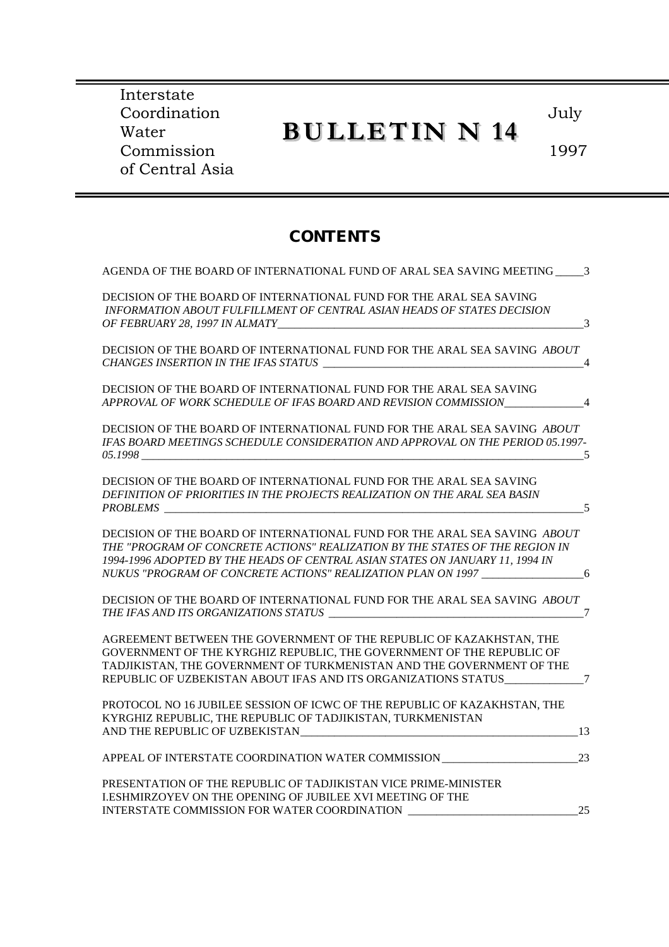Interstate Coordination Water Commission of Central Asia

### **BULLETIN N 14**

July

1997

#### **CONTENTS**

| AGENDA OF THE BOARD OF INTERNATIONAL FUND OF ARAL SEA SAVING MEETING 3                                                                                                                                                                                                                                  |
|---------------------------------------------------------------------------------------------------------------------------------------------------------------------------------------------------------------------------------------------------------------------------------------------------------|
|                                                                                                                                                                                                                                                                                                         |
|                                                                                                                                                                                                                                                                                                         |
| DECISION OF THE BOARD OF INTERNATIONAL FUND FOR THE ARAL SEA SAVING ABOUT<br>$\overline{4}$                                                                                                                                                                                                             |
| APPROVAL OF WORK SCHEDULE OF IFAS BOARD AND REVISION COMMISSION_______________4                                                                                                                                                                                                                         |
| DECISION OF THE BOARD OF INTERNATIONAL FUND FOR THE ARAL SEA SAVING ABOUT<br>IFAS BOARD MEETINGS SCHEDULE CONSIDERATION AND APPROVAL ON THE PERIOD 05.1997-<br>$\overline{5}$                                                                                                                           |
| - 5                                                                                                                                                                                                                                                                                                     |
| DECISION OF THE BOARD OF INTERNATIONAL FUND FOR THE ARAL SEA SAVING ABOUT<br>THE "PROGRAM OF CONCRETE ACTIONS" REALIZATION BY THE STATES OF THE REGION IN                                                                                                                                               |
| NUKUS "PROGRAM OF CONCRETE ACTIONS" REALIZATION PLAN ON 1997 ___________________6                                                                                                                                                                                                                       |
| DECISION OF THE BOARD OF INTERNATIONAL FUND FOR THE ARAL SEA SAVING ABOUT                                                                                                                                                                                                                               |
| AGREEMENT BETWEEN THE GOVERNMENT OF THE REPUBLIC OF KAZAKHSTAN, THE<br>GOVERNMENT OF THE KYRGHIZ REPUBLIC, THE GOVERNMENT OF THE REPUBLIC OF<br>TADJIKISTAN, THE GOVERNMENT OF TURKMENISTAN AND THE GOVERNMENT OF THE<br>REPUBLIC OF UZBEKISTAN ABOUT IFAS AND ITS ORGANIZATIONS STATUS_______________7 |
| PROTOCOL NO 16 JUBILEE SESSION OF ICWC OF THE REPUBLIC OF KAZAKHSTAN, THE                                                                                                                                                                                                                               |
| $\sim$ 13                                                                                                                                                                                                                                                                                               |
|                                                                                                                                                                                                                                                                                                         |
|                                                                                                                                                                                                                                                                                                         |
| 25                                                                                                                                                                                                                                                                                                      |
|                                                                                                                                                                                                                                                                                                         |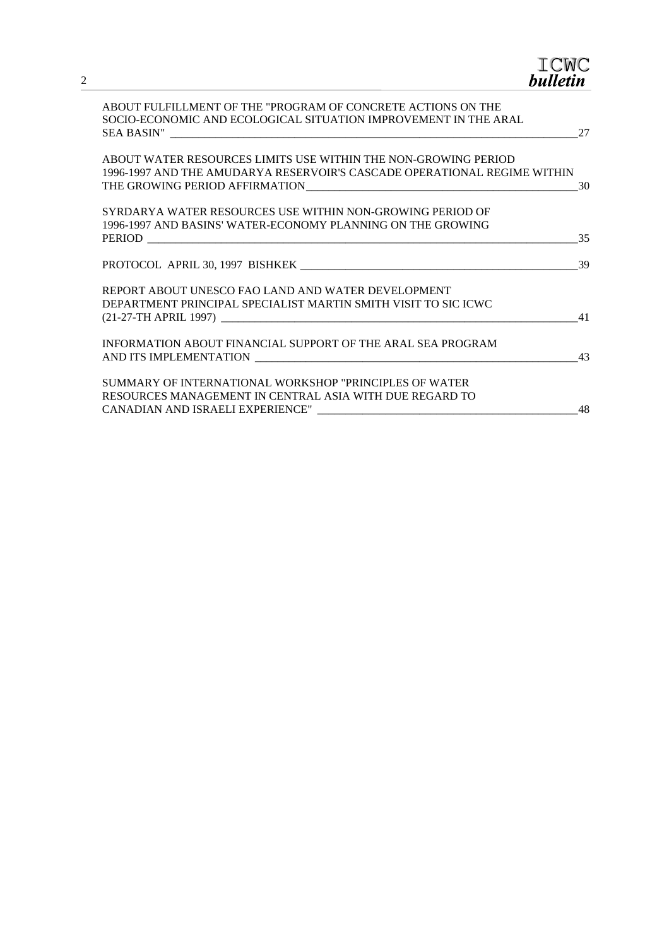| ICWC<br><b>bulletin</b>                                                                                                                                     |
|-------------------------------------------------------------------------------------------------------------------------------------------------------------|
| ABOUT FULFILLMENT OF THE "PROGRAM OF CONCRETE ACTIONS ON THE<br>SOCIO-ECONOMIC AND ECOLOGICAL SITUATION IMPROVEMENT IN THE ARAL<br>27                       |
| ABOUT WATER RESOURCES LIMITS USE WITHIN THE NON-GROWING PERIOD<br>1996-1997 AND THE AMUDARYA RESERVOIR'S CASCADE OPERATIONAL REGIME WITHIN<br>30            |
| SYRDARYA WATER RESOURCES USE WITHIN NON-GROWING PERIOD OF<br>1996-1997 AND BASINS' WATER-ECONOMY PLANNING ON THE GROWING<br>35                              |
| 39                                                                                                                                                          |
| REPORT ABOUT UNESCO FAO LAND AND WATER DEVELOPMENT<br>DEPARTMENT PRINCIPAL SPECIALIST MARTIN SMITH VISIT TO SIC ICWC<br>41                                  |
| INFORMATION ABOUT FINANCIAL SUPPORT OF THE ARAL SEA PROGRAM<br>43                                                                                           |
| SUMMARY OF INTERNATIONAL WORKSHOP "PRINCIPLES OF WATER<br>RESOURCES MANAGEMENT IN CENTRAL ASIA WITH DUE REGARD TO<br>48<br>CANADIAN AND ISRAELI EXPERIENCE" |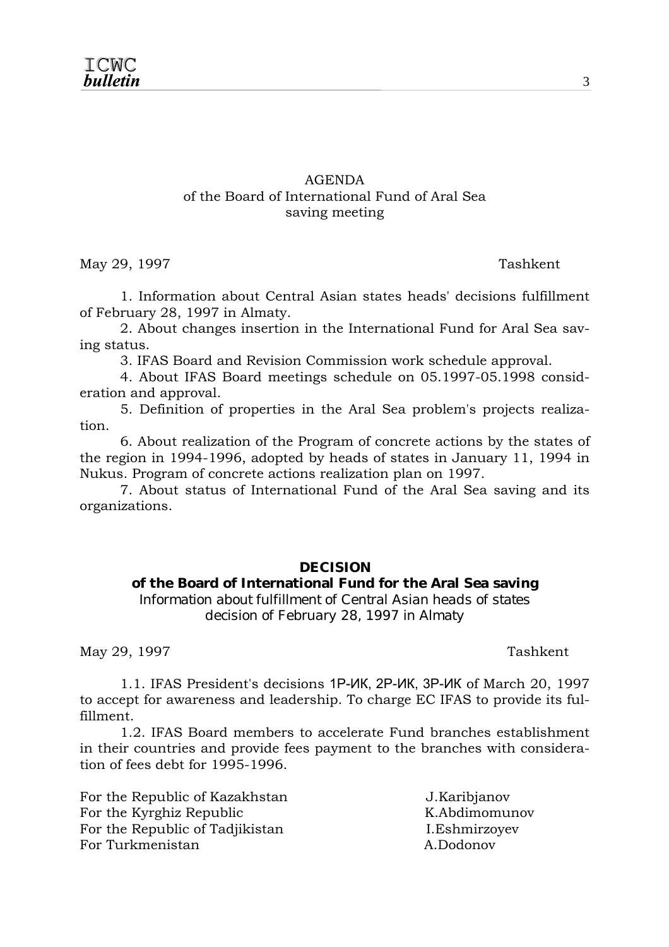#### AGENDA of the Board of International Fund of Aral Sea saving meeting

May 29, 1997 Tashkent

 1. Information about Central Asian states heads' decisions fulfillment of February 28, 1997 in Almaty.

 2. About changes insertion in the International Fund for Aral Sea saving status.

3. IFAS Board and Revision Commission work schedule approval.

 4. About IFAS Board meetings schedule on 05.1997-05.1998 consideration and approval.

 5. Definition of properties in the Aral Sea problem's projects realization.

 6. About realization of the Program of concrete actions by the states of the region in 1994-1996, adopted by heads of states in January 11, 1994 in Nukus. Program of concrete actions realization plan on 1997.

 7. About status of International Fund of the Aral Sea saving and its organizations.

#### **DECISION**

#### **of the Board of International Fund for the Aral Sea saving**

*Information about fulfillment of Central Asian heads of states decision of February 28, 1997 in Almaty* 

May 29, 1997 Tashkent

 1.1. IFAS President's decisions 1P-ИК, 2P-ИК, 3P-ИК of March 20, 1997 to accept for awareness and leadership. To charge EC IFAS to provide its fulfillment.

 1.2. IFAS Board members to accelerate Fund branches establishment in their countries and provide fees payment to the branches with consideration of fees debt for 1995-1996.

For the Republic of Kazakhstan J.Karibjanov For the Kyrghiz Republic K.Abdimomunov For the Republic of Tadjikistan I.Eshmirzoyev For Turkmenistan A.Dodonov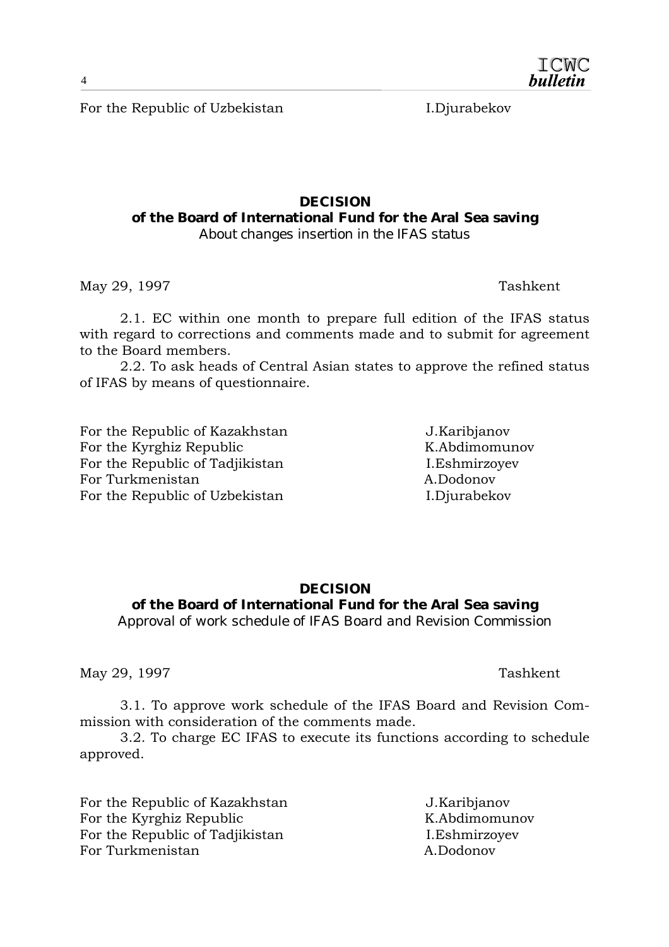For the Republic of Uzbekistan I.Djurabekov

#### **DECISION of the Board of International Fund for the Aral Sea saving**  *About changes insertion in the IFAS status*

May 29, 1997 Tashkent

 2.1. EC within one month to prepare full edition of the IFAS status with regard to corrections and comments made and to submit for agreement to the Board members.

 2.2. To ask heads of Central Asian states to approve the refined status of IFAS by means of questionnaire.

For the Republic of Kazakhstan J.Karibjanov For the Kyrghiz Republic K.Abdimomunov For the Republic of Tadjikistan I.Eshmirzovev For Turkmenistan A.Dodonov For the Republic of Uzbekistan I.Djurabekov

#### **DECISION of the Board of International Fund for the Aral Sea saving**

*Approval of work schedule of IFAS Board and Revision Commission* 

May 29, 1997 Tashkent

 3.1. To approve work schedule of the IFAS Board and Revision Commission with consideration of the comments made.

 3.2. To charge EC IFAS to execute its functions according to schedule approved.

For the Republic of Kazakhstan J.Karibjanov For the Kyrghiz Republic K.Abdimomunov For the Republic of Tadjikistan I.Eshmirzoyev For Turkmenistan A.Dodonov

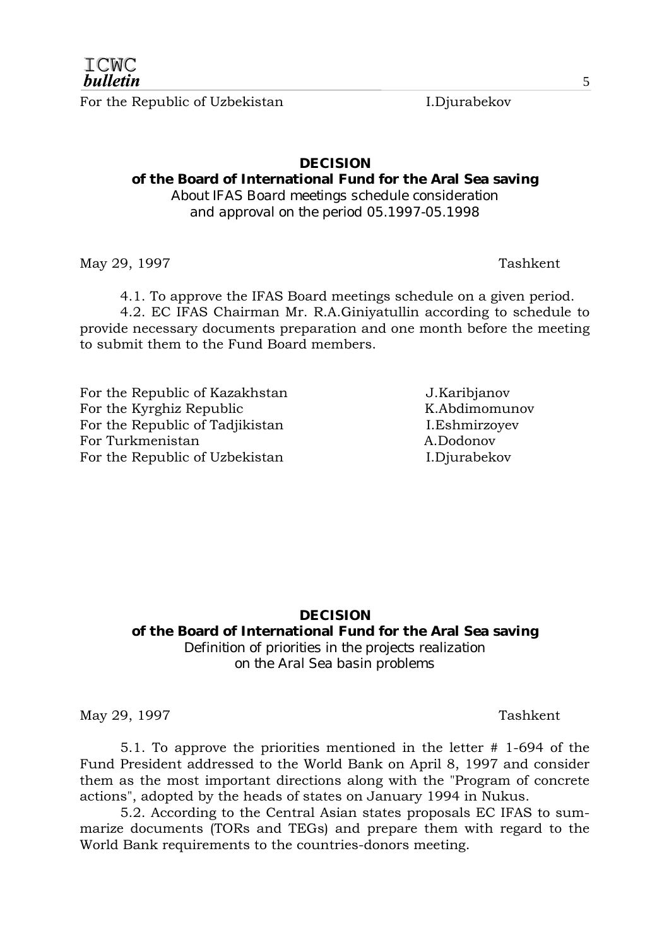For the Republic of Uzbekistan I.Djurabekov

#### **DECISION**

#### **of the Board of International Fund for the Aral Sea saving**

*About IFAS Board meetings schedule consideration and approval on the period 05.1997-05.1998* 

May 29, 1997 Tashkent

4.1. To approve the IFAS Board meetings schedule on a given period.

 4.2. EC IFAS Chairman Mr. R.A.Giniyatullin according to schedule to provide necessary documents preparation and one month before the meeting to submit them to the Fund Board members.

For the Republic of Kazakhstan J.Karibjanov For the Kyrghiz Republic K.Abdimomunov For the Republic of Tadjikistan I.Eshmirzovev For Turkmenistan A.Dodonov For the Republic of Uzbekistan I.Djurabekov

#### **DECISION of the Board of International Fund for the Aral Sea saving**  *Definition of priorities in the projects realization on the Aral Sea basin problems*

May 29, 1997 Tashkent

 5.1. To approve the priorities mentioned in the letter # 1-694 of the Fund President addressed to the World Bank on April 8, 1997 and consider them as the most important directions along with the "Program of concrete actions", adopted by the heads of states on January 1994 in Nukus.

 5.2. According to the Central Asian states proposals EC IFAS to summarize documents (TORs and TEGs) and prepare them with regard to the World Bank requirements to the countries-donors meeting.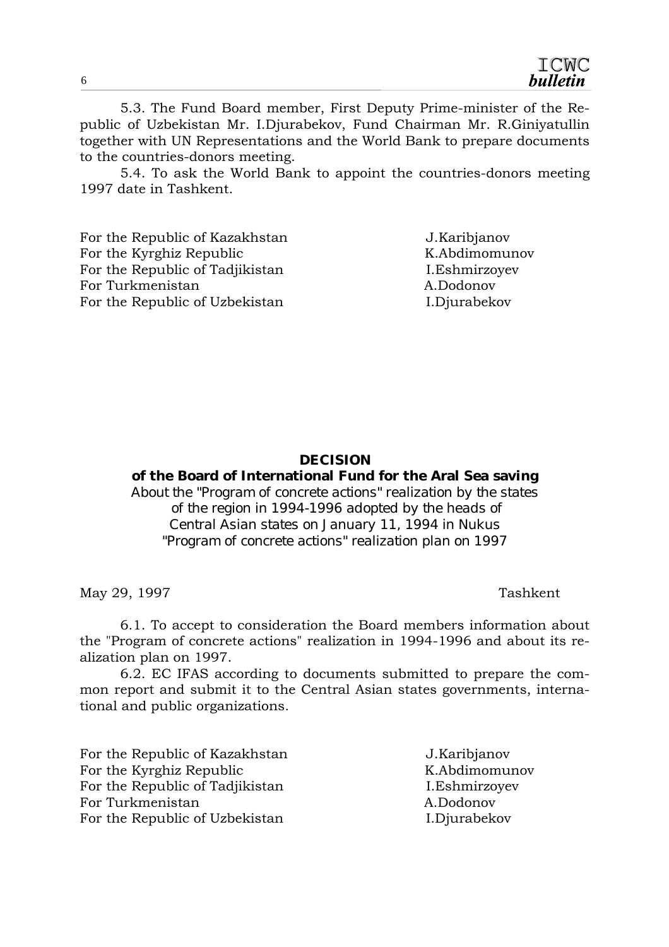5.3. The Fund Board member, First Deputy Prime-minister of the Republic of Uzbekistan Mr. I.Djurabekov, Fund Chairman Mr. R.Giniyatullin together with UN Representations and the World Bank to prepare documents to the countries-donors meeting.

 5.4. To ask the World Bank to appoint the countries-donors meeting 1997 date in Tashkent.

For the Republic of Kazakhstan J.Karibjanov For the Kyrghiz Republic K.Abdimomunov For the Republic of Tadjikistan I.Eshmirzovev For Turkmenistan A.Dodonov For the Republic of Uzbekistan I.Djurabekov

#### **DECISION**

#### **of the Board of International Fund for the Aral Sea saving**

*About the "Program of concrete actions" realization by the states of the region in 1994-1996 adopted by the heads of Central Asian states on January 11, 1994 in Nukus "Program of concrete actions" realization plan on 1997* 

May 29, 1997 Tashkent

 6.1. To accept to consideration the Board members information about the "Program of concrete actions" realization in 1994-1996 and about its realization plan on 1997.

 6.2. EC IFAS according to documents submitted to prepare the common report and submit it to the Central Asian states governments, international and public organizations.

For the Republic of Kazakhstan J.Karibjanov For the Kyrghiz Republic K.Abdimomunov For the Republic of Tadjikistan I.Eshmirzovev For Turkmenistan A.Dodonov For the Republic of Uzbekistan I.Djurabekov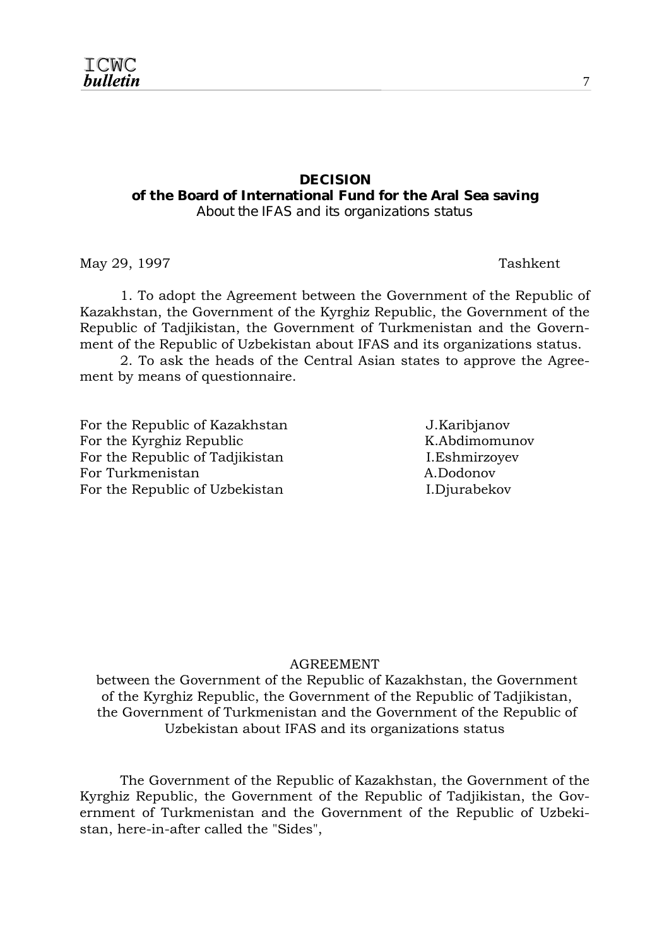#### **DECISION**

**of the Board of International Fund for the Aral Sea saving** 

*About the IFAS and its organizations status* 

May 29, 1997 Tashkent

 1. To adopt the Agreement between the Government of the Republic of Kazakhstan, the Government of the Kyrghiz Republic, the Government of the Republic of Tadjikistan, the Government of Turkmenistan and the Government of the Republic of Uzbekistan about IFAS and its organizations status.

 2. To ask the heads of the Central Asian states to approve the Agreement by means of questionnaire.

For the Republic of Kazakhstan The J.Karibianov For the Kyrghiz Republic K.Abdimomunov For the Republic of Tadjikistan I.Eshmirzoyev For Turkmenistan A.Dodonov For the Republic of Uzbekistan I.Djurabekov

#### AGREEMENT

 between the Government of the Republic of Kazakhstan, the Government of the Kyrghiz Republic, the Government of the Republic of Tadjikistan, the Government of Turkmenistan and the Government of the Republic of Uzbekistan about IFAS and its organizations status

 The Government of the Republic of Kazakhstan, the Government of the Kyrghiz Republic, the Government of the Republic of Tadjikistan, the Government of Turkmenistan and the Government of the Republic of Uzbekistan, here-in-after called the "Sides",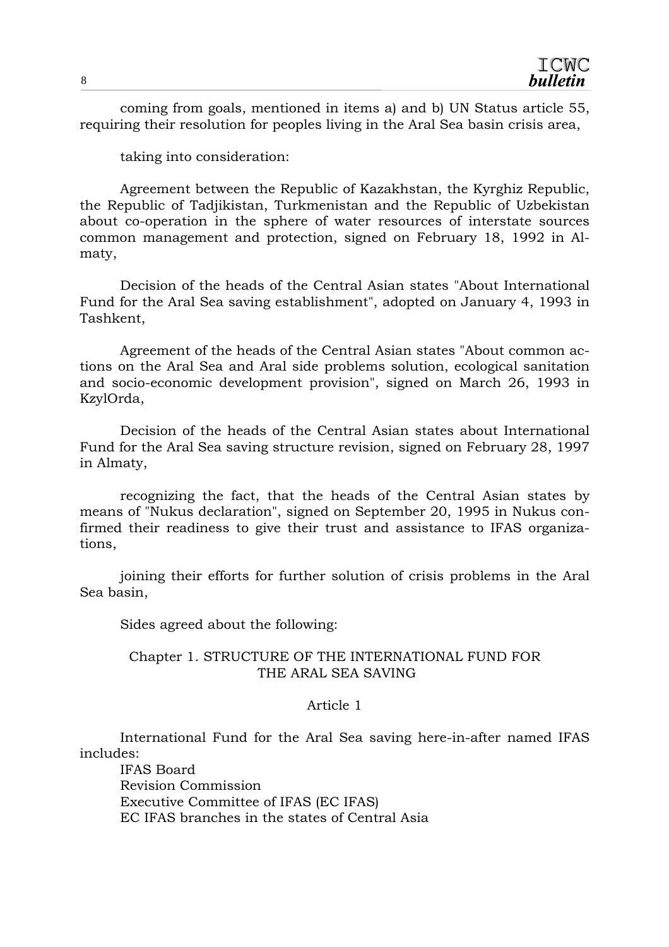coming from goals, mentioned in items a) and b) UN Status article 55, requiring their resolution for peoples living in the Aral Sea basin crisis area,

taking into consideration:

 Agreement between the Republic of Kazakhstan, the Kyrghiz Republic, the Republic of Tadjikistan, Turkmenistan and the Republic of Uzbekistan about co-operation in the sphere of water resources of interstate sources common management and protection, signed on February 18, 1992 in Almaty,

 Decision of the heads of the Central Asian states "About International Fund for the Aral Sea saving establishment", adopted on January 4, 1993 in Tashkent,

 Agreement of the heads of the Central Asian states "About common actions on the Aral Sea and Aral side problems solution, ecological sanitation and socio-economic development provision", signed on March 26, 1993 in KzylOrda,

 Decision of the heads of the Central Asian states about International Fund for the Aral Sea saving structure revision, signed on February 28, 1997 in Almaty,

 recognizing the fact, that the heads of the Central Asian states by means of "Nukus declaration", signed on September 20, 1995 in Nukus confirmed their readiness to give their trust and assistance to IFAS organizations,

 joining their efforts for further solution of crisis problems in the Aral Sea basin,

Sides agreed about the following:

#### Chapter 1. STRUCTURE OF THE INTERNATIONAL FUND FOR THE ARAL SEA SAVING

#### Article 1

 International Fund for the Aral Sea saving here-in-after named IFAS includes:

 IFAS Board Revision Commission Executive Committee of IFAS (EC IFAS) EC IFAS branches in the states of Central Asia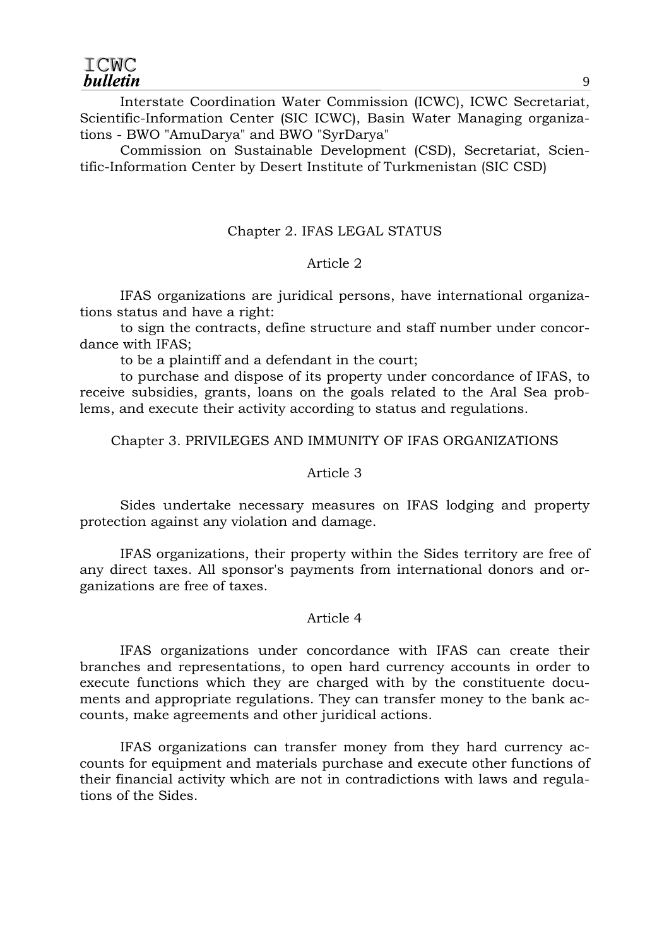Interstate Coordination Water Commission (ICWC), ICWC Secretariat, Scientific-Information Center (SIC ICWC), Basin Water Managing organizations - BWO "AmuDarya" and BWO "SyrDarya"

 Commission on Sustainable Development (CSD), Secretariat, Scientific-Information Center by Desert Institute of Turkmenistan (SIC CSD)

#### Chapter 2. IFAS LEGAL STATUS

#### Article 2

 IFAS organizations are juridical persons, have international organizations status and have a right:

 to sign the contracts, define structure and staff number under concordance with IFAS;

to be a plaintiff and a defendant in the court;

 to purchase and dispose of its property under concordance of IFAS, to receive subsidies, grants, loans on the goals related to the Aral Sea problems, and execute their activity according to status and regulations.

Chapter 3. PRIVILEGES AND IMMUNITY OF IFAS ORGANIZATIONS

#### Article 3

 Sides undertake necessary measures on IFAS lodging and property protection against any violation and damage.

 IFAS organizations, their property within the Sides territory are free of any direct taxes. All sponsor's payments from international donors and organizations are free of taxes.

#### Article 4

 IFAS organizations under concordance with IFAS can create their branches and representations, to open hard currency accounts in order to execute functions which they are charged with by the constituente documents and appropriate regulations. They can transfer money to the bank accounts, make agreements and other juridical actions.

 IFAS organizations can transfer money from they hard currency accounts for equipment and materials purchase and execute other functions of their financial activity which are not in contradictions with laws and regulations of the Sides.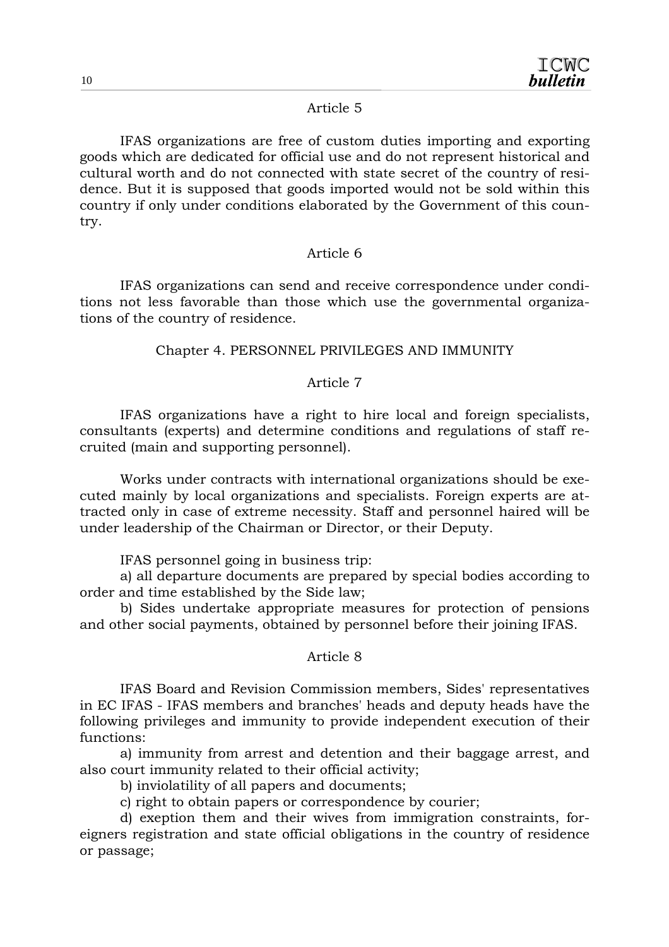#### Article 5

 IFAS organizations are free of custom duties importing and exporting goods which are dedicated for official use and do not represent historical and cultural worth and do not connected with state secret of the country of residence. But it is supposed that goods imported would not be sold within this country if only under conditions elaborated by the Government of this country.

#### Article 6

 IFAS organizations can send and receive correspondence under conditions not less favorable than those which use the governmental organizations of the country of residence.

#### Chapter 4. PERSONNEL PRIVILEGES AND IMMUNITY

#### Article 7

 IFAS organizations have a right to hire local and foreign specialists, consultants (experts) and determine conditions and regulations of staff recruited (main and supporting personnel).

 Works under contracts with international organizations should be executed mainly by local organizations and specialists. Foreign experts are attracted only in case of extreme necessity. Staff and personnel haired will be under leadership of the Chairman or Director, or their Deputy.

IFAS personnel going in business trip:

 a) all departure documents are prepared by special bodies according to order and time established by the Side law;

 b) Sides undertake appropriate measures for protection of pensions and other social payments, obtained by personnel before their joining IFAS.

#### Article 8

 IFAS Board and Revision Commission members, Sides' representatives in EC IFAS - IFAS members and branches' heads and deputy heads have the following privileges and immunity to provide independent execution of their functions:

 a) immunity from arrest and detention and their baggage arrest, and also court immunity related to their official activity;

b) inviolatility of all papers and documents;

c) right to obtain papers or correspondence by courier;

 d) exeption them and their wives from immigration constraints, foreigners registration and state official obligations in the country of residence or passage;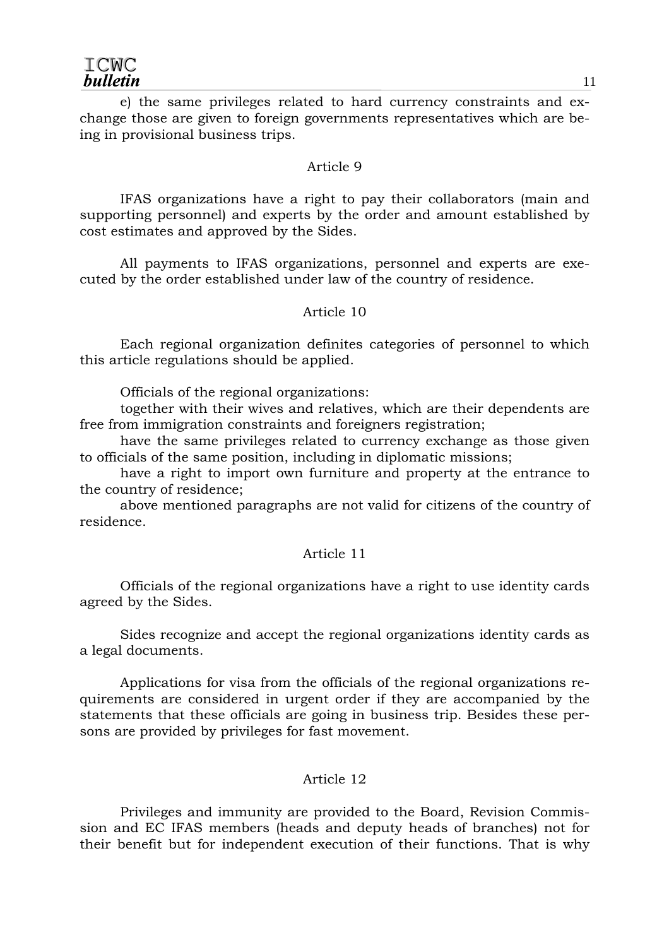e) the same privileges related to hard currency constraints and exchange those are given to foreign governments representatives which are being in provisional business trips.

#### Article 9

 IFAS organizations have a right to pay their collaborators (main and supporting personnel) and experts by the order and amount established by cost estimates and approved by the Sides.

 All payments to IFAS organizations, personnel and experts are executed by the order established under law of the country of residence.

#### Article 10

 Each regional organization definites categories of personnel to which this article regulations should be applied.

Officials of the regional organizations:

 together with their wives and relatives, which are their dependents are free from immigration constraints and foreigners registration;

 have the same privileges related to currency exchange as those given to officials of the same position, including in diplomatic missions;

 have a right to import own furniture and property at the entrance to the country of residence;

 above mentioned paragraphs are not valid for citizens of the country of residence.

#### Article 11

 Officials of the regional organizations have a right to use identity cards agreed by the Sides.

 Sides recognize and accept the regional organizations identity cards as a legal documents.

 Applications for visa from the officials of the regional organizations requirements are considered in urgent order if they are accompanied by the statements that these officials are going in business trip. Besides these persons are provided by privileges for fast movement.

#### Article 12

 Privileges and immunity are provided to the Board, Revision Commission and EC IFAS members (heads and deputy heads of branches) not for their benefit but for independent execution of their functions. That is why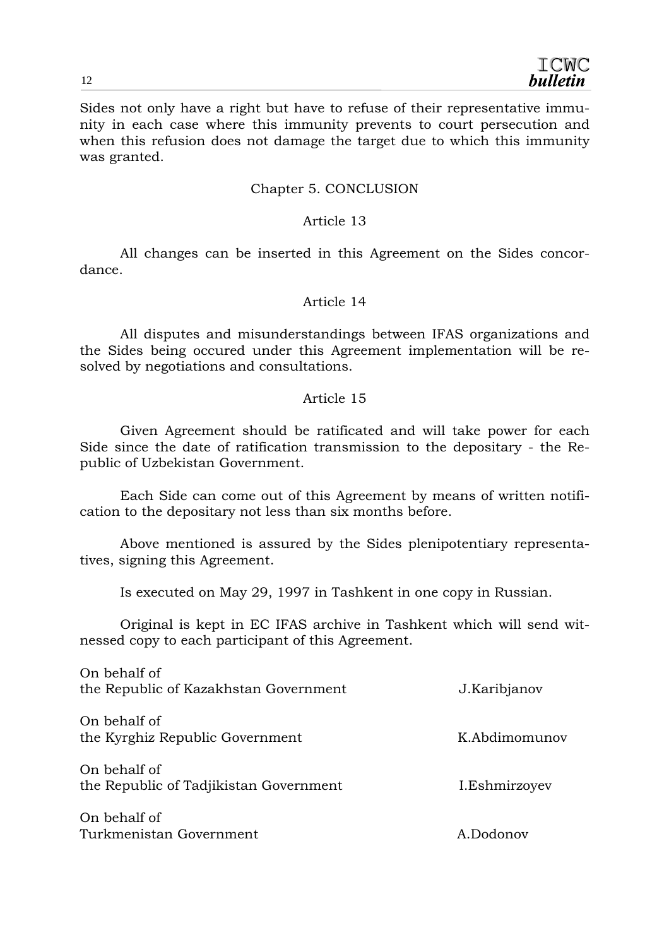Sides not only have a right but have to refuse of their representative immunity in each case where this immunity prevents to court persecution and when this refusion does not damage the target due to which this immunity was granted.

#### Chapter 5. CONCLUSION

#### Article 13

 All changes can be inserted in this Agreement on the Sides concordance.

#### Article 14

 All disputes and misunderstandings between IFAS organizations and the Sides being occured under this Agreement implementation will be resolved by negotiations and consultations.

#### Article 15

 Given Agreement should be ratificated and will take power for each Side since the date of ratification transmission to the depositary - the Republic of Uzbekistan Government.

 Each Side can come out of this Agreement by means of written notification to the depositary not less than six months before.

 Above mentioned is assured by the Sides plenipotentiary representatives, signing this Agreement.

Is executed on May 29, 1997 in Tashkent in one copy in Russian.

 Original is kept in EC IFAS archive in Tashkent which will send witnessed copy to each participant of this Agreement.

| On behalf of<br>the Republic of Kazakhstan Government  | J.Karibjanov  |
|--------------------------------------------------------|---------------|
| On behalf of<br>the Kyrghiz Republic Government        | K.Abdimomunov |
| On behalf of<br>the Republic of Tadjikistan Government | I.Eshmirzoyev |
| On behalf of<br>Turkmenistan Government                | A Dodonov     |
|                                                        |               |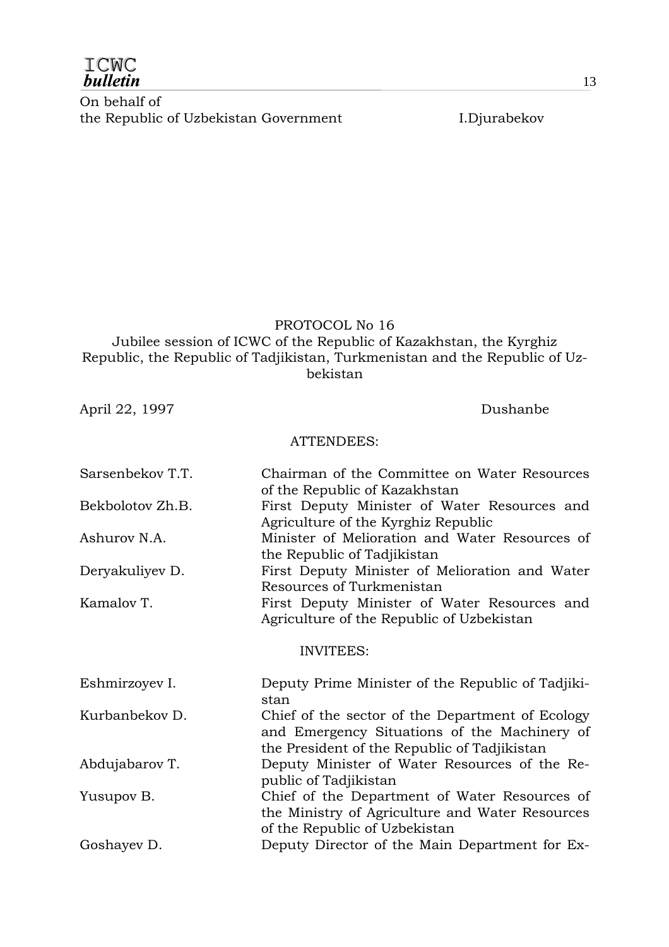| ICMC            |
|-----------------|
| <b>bulletin</b> |

On behalf of the Republic of Uzbekistan Government I.Djurabekov

#### PROTOCOL No 16

Jubilee session of ICWC of the Republic of Kazakhstan, the Kyrghiz Republic, the Republic of Tadjikistan, Turkmenistan and the Republic of Uzbekistan

April 22, 1997 Dushanbe

#### ATTENDEES:

| Sarsenbekov T.T. | Chairman of the Committee on Water Resources<br>of the Republic of Kazakhstan                                                                    |
|------------------|--------------------------------------------------------------------------------------------------------------------------------------------------|
| Bekbolotov Zh.B. | First Deputy Minister of Water Resources and<br>Agriculture of the Kyrghiz Republic                                                              |
| Ashurov N.A.     | Minister of Melioration and Water Resources of<br>the Republic of Tadjikistan                                                                    |
| Deryakuliyev D.  | First Deputy Minister of Melioration and Water<br>Resources of Turkmenistan                                                                      |
| Kamalov T.       | First Deputy Minister of Water Resources and<br>Agriculture of the Republic of Uzbekistan                                                        |
|                  | <b>INVITEES:</b>                                                                                                                                 |
| Eshmirzoyev I.   | Deputy Prime Minister of the Republic of Tadjiki-<br>stan                                                                                        |
| Kurbanbekov D.   | Chief of the sector of the Department of Ecology<br>and Emergency Situations of the Machinery of<br>the President of the Republic of Tadjikistan |
| Abdujabarov T.   | Deputy Minister of Water Resources of the Re-<br>public of Tadjikistan                                                                           |
| Yusupov B.       | Chief of the Department of Water Resources of<br>the Ministry of Agriculture and Water Resources<br>of the Republic of Uzbekistan                |
| Goshayev D.      | Deputy Director of the Main Department for Ex-                                                                                                   |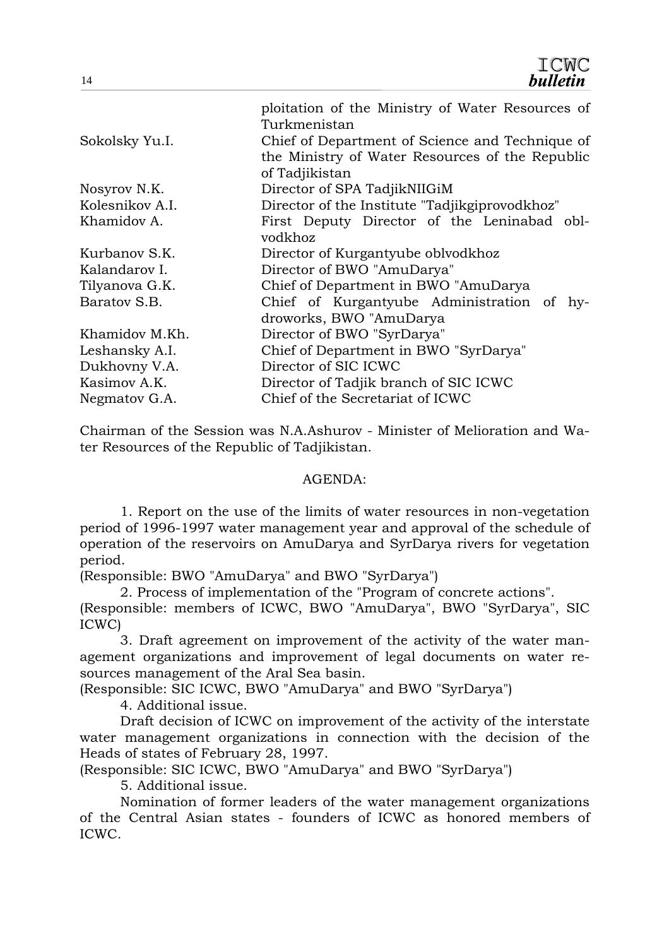| 14              | -vvv<br><b>bulletin</b>                                                                                              |  |  |
|-----------------|----------------------------------------------------------------------------------------------------------------------|--|--|
|                 | ploitation of the Ministry of Water Resources of<br>Turkmenistan                                                     |  |  |
| Sokolsky Yu.I.  | Chief of Department of Science and Technique of<br>the Ministry of Water Resources of the Republic<br>of Tadjikistan |  |  |
| Nosyrov N.K.    | Director of SPA TadjikNIIGiM                                                                                         |  |  |
| Kolesnikov A.I. | Director of the Institute "Tadjikgiprovodkhoz"                                                                       |  |  |
| Khamidov A.     | First Deputy Director of the Leninabad obl-<br>vodkhoz                                                               |  |  |
| Kurbanov S.K.   | Director of Kurgantyube oblvodkhoz                                                                                   |  |  |
| Kalandarov I.   | Director of BWO "AmuDarya"                                                                                           |  |  |
| Tilyanova G.K.  | Chief of Department in BWO "AmuDarya"                                                                                |  |  |
| Baratov S.B.    | Chief of Kurgantyube Administration of hy-<br>droworks, BWO "AmuDarya                                                |  |  |
| Khamidov M.Kh.  | Director of BWO "SyrDarya"                                                                                           |  |  |
| Leshansky A.I.  | Chief of Department in BWO "SyrDarya"                                                                                |  |  |
| Dukhovny V.A.   | Director of SIC ICWC                                                                                                 |  |  |
| Kasimov A.K.    | Director of Tadjik branch of SIC ICWC                                                                                |  |  |
| Negmatov G.A.   | Chief of the Secretariat of ICWC                                                                                     |  |  |

**TOMO** 

Chairman of the Session was N.A.Ashurov - Minister of Melioration and Water Resources of the Republic of Tadjikistan.

#### AGENDA:

 1. Report on the use of the limits of water resources in non-vegetation period of 1996-1997 water management year and approval of the schedule of operation of the reservoirs on AmuDarya and SyrDarya rivers for vegetation period.

(Responsible: BWO "AmuDarya" and BWO "SyrDarya")

 2. Process of implementation of the "Program of concrete actions". (Responsible: members of ICWC, BWO "AmuDarya", BWO "SyrDarya", SIC ICWC)

 3. Draft agreement on improvement of the activity of the water management organizations and improvement of legal documents on water resources management of the Aral Sea basin.

(Responsible: SIC ICWC, BWO "AmuDarya" and BWO "SyrDarya")

4. Additional issue.

Draft decision of ICWC on improvement of the activity of the interstate water management organizations in connection with the decision of the Heads of states of February 28, 1997.

(Responsible: SIC ICWC, BWO "AmuDarya" and BWO "SyrDarya")

5. Additional issue.

Nomination of former leaders of the water management organizations of the Central Asian states - founders of ICWC as honored members of ICWC.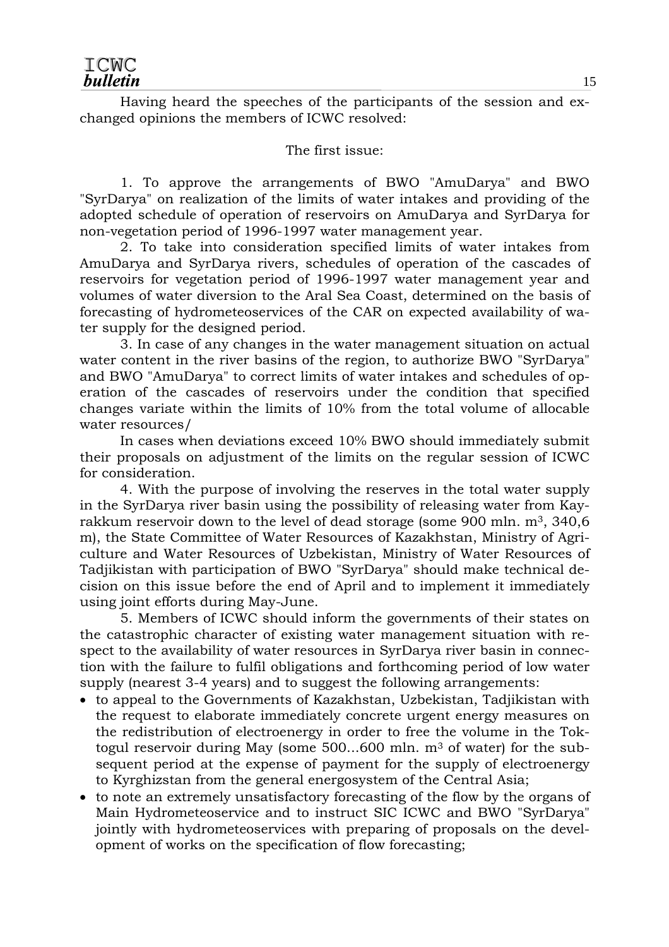Having heard the speeches of the participants of the session and exchanged opinions the members of ICWC resolved:

#### The first issue:

1. To approve the arrangements of BWO "AmuDarya" and BWO "SyrDarya" on realization of the limits of water intakes and providing of the adopted schedule of operation of reservoirs on AmuDarya and SyrDarya for non-vegetation period of 1996-1997 water management year.

2. To take into consideration specified limits of water intakes from AmuDarya and SyrDarya rivers, schedules of operation of the cascades of reservoirs for vegetation period of 1996-1997 water management year and volumes of water diversion to the Aral Sea Coast, determined on the basis of forecasting of hydrometeoservices of the CAR on expected availability of water supply for the designed period.

3. In case of any changes in the water management situation on actual water content in the river basins of the region, to authorize BWO "SyrDarya" and BWO "AmuDarya" to correct limits of water intakes and schedules of operation of the cascades of reservoirs under the condition that specified changes variate within the limits of 10% from the total volume of allocable water resources/

In cases when deviations exceed 10% BWO should immediately submit their proposals on adjustment of the limits on the regular session of ICWC for consideration.

 4. With the purpose of involving the reserves in the total water supply in the SyrDarya river basin using the possibility of releasing water from Kayrakkum reservoir down to the level of dead storage (some 900 mln.  $m^3$ , 340,6 m), the State Committee of Water Resources of Kazakhstan, Ministry of Agriculture and Water Resources of Uzbekistan, Ministry of Water Resources of Tadjikistan with participation of BWO "SyrDarya" should make technical decision on this issue before the end of April and to implement it immediately using joint efforts during May-June.

 5. Members of ICWC should inform the governments of their states on the catastrophic character of existing water management situation with respect to the availability of water resources in SyrDarya river basin in connection with the failure to fulfil obligations and forthcoming period of low water supply (nearest 3-4 years) and to suggest the following arrangements:

- to appeal to the Governments of Kazakhstan, Uzbekistan, Tadjikistan with the request to elaborate immediately concrete urgent energy measures on the redistribution of electroenergy in order to free the volume in the Toktogul reservoir during May (some  $500...600$  mln.  $m<sup>3</sup>$  of water) for the subsequent period at the expense of payment for the supply of electroenergy to Kyrghizstan from the general energosystem of the Central Asia;
- to note an extremely unsatisfactory forecasting of the flow by the organs of Main Hydrometeoservice and to instruct SIC ICWC and BWO "SyrDarya" jointly with hydrometeoservices with preparing of proposals on the development of works on the specification of flow forecasting;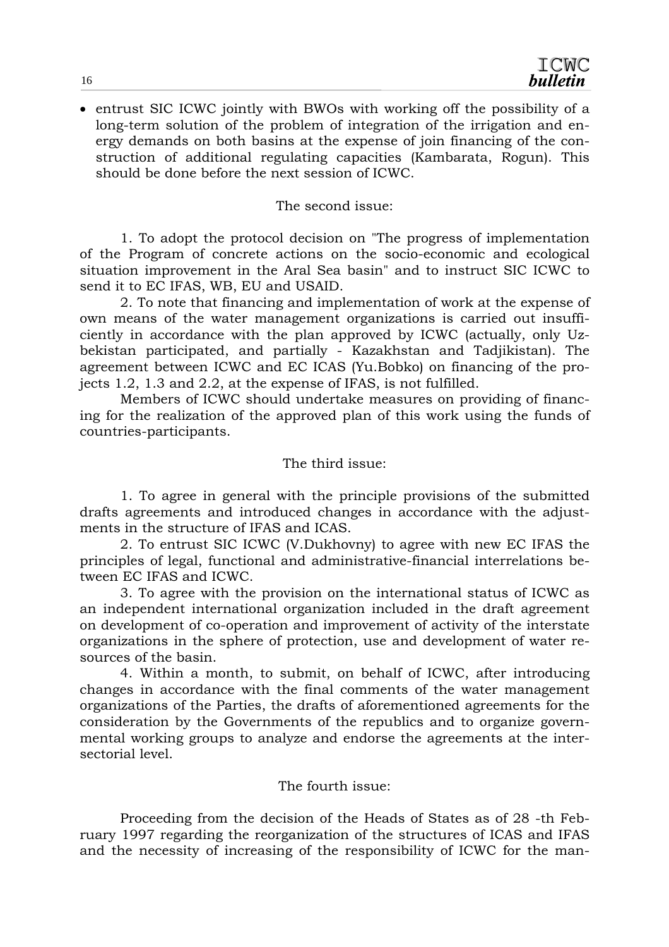• entrust SIC ICWC jointly with BWOs with working off the possibility of a long-term solution of the problem of integration of the irrigation and energy demands on both basins at the expense of join financing of the construction of additional regulating capacities (Kambarata, Rogun). This should be done before the next session of ICWC.

The second issue:

 1. To adopt the protocol decision on "The progress of implementation of the Program of concrete actions on the socio-economic and ecological situation improvement in the Aral Sea basin" and to instruct SIC ICWC to send it to EC IFAS, WB, EU and USAID.

 2. To note that financing and implementation of work at the expense of own means of the water management organizations is carried out insufficiently in accordance with the plan approved by ICWC (actually, only Uzbekistan participated, and partially - Kazakhstan and Tadjikistan). The agreement between ICWC and EC ICAS (Yu.Bobko) on financing of the projects 1.2, 1.3 and 2.2, at the expense of IFAS, is not fulfilled.

 Members of ICWC should undertake measures on providing of financing for the realization of the approved plan of this work using the funds of countries-participants.

#### The third issue:

 1. To agree in general with the principle provisions of the submitted drafts agreements and introduced changes in accordance with the adjustments in the structure of IFAS and ICAS.

 2. To entrust SIC ICWC (V.Dukhovny) to agree with new EC IFAS the principles of legal, functional and administrative-financial interrelations between EC IFAS and ICWC.

 3. To agree with the provision on the international status of ICWC as an independent international organization included in the draft agreement on development of co-operation and improvement of activity of the interstate organizations in the sphere of protection, use and development of water resources of the basin.

 4. Within a month, to submit, on behalf of ICWC, after introducing changes in accordance with the final comments of the water management organizations of the Parties, the drafts of aforementioned agreements for the consideration by the Governments of the republics and to organize governmental working groups to analyze and endorse the agreements at the intersectorial level.

#### The fourth issue:

 Proceeding from the decision of the Heads of States as of 28 -th February 1997 regarding the reorganization of the structures of ICAS and IFAS and the necessity of increasing of the responsibility of ICWC for the man-

16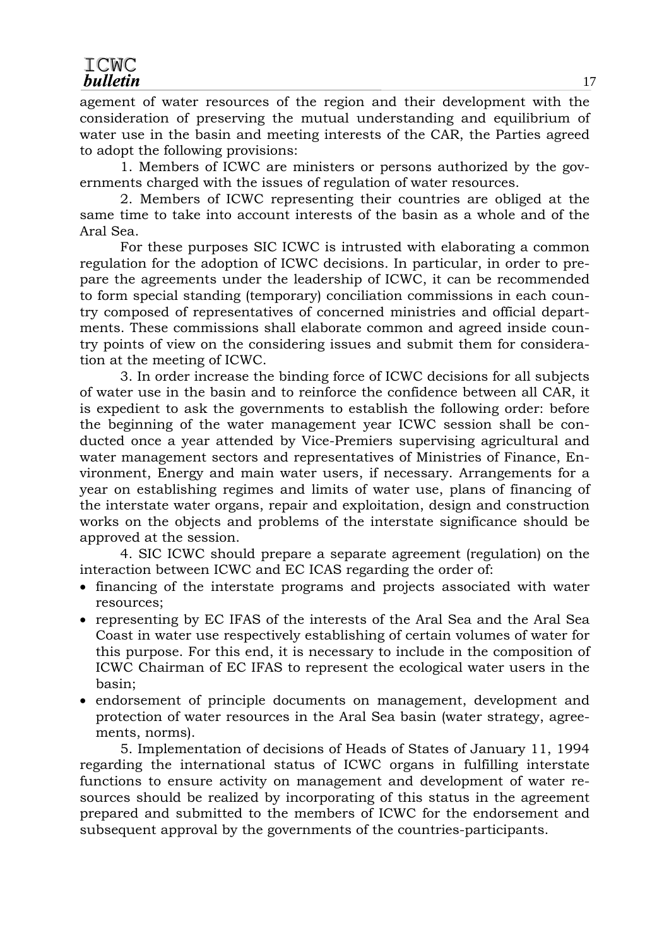agement of water resources of the region and their development with the consideration of preserving the mutual understanding and equilibrium of water use in the basin and meeting interests of the CAR, the Parties agreed to adopt the following provisions:

 1. Members of ICWC are ministers or persons authorized by the governments charged with the issues of regulation of water resources.

 2. Members of ICWC representing their countries are obliged at the same time to take into account interests of the basin as a whole and of the Aral Sea.

 For these purposes SIC ICWC is intrusted with elaborating a common regulation for the adoption of ICWC decisions. In particular, in order to prepare the agreements under the leadership of ICWC, it can be recommended to form special standing (temporary) conciliation commissions in each country composed of representatives of concerned ministries and official departments. These commissions shall elaborate common and agreed inside country points of view on the considering issues and submit them for consideration at the meeting of ICWC.

 3. In order increase the binding force of ICWC decisions for all subjects of water use in the basin and to reinforce the confidence between all CAR, it is expedient to ask the governments to establish the following order: before the beginning of the water management year ICWC session shall be conducted once a year attended by Vice-Premiers supervising agricultural and water management sectors and representatives of Ministries of Finance, Environment, Energy and main water users, if necessary. Arrangements for a year on establishing regimes and limits of water use, plans of financing of the interstate water organs, repair and exploitation, design and construction works on the objects and problems of the interstate significance should be approved at the session.

 4. SIC ICWC should prepare a separate agreement (regulation) on the interaction between ICWC and EC ICAS regarding the order of:

- financing of the interstate programs and projects associated with water resources;
- representing by EC IFAS of the interests of the Aral Sea and the Aral Sea Coast in water use respectively establishing of certain volumes of water for this purpose. For this end, it is necessary to include in the composition of ICWC Chairman of EC IFAS to represent the ecological water users in the basin;
- endorsement of principle documents on management, development and protection of water resources in the Aral Sea basin (water strategy, agreements, norms).

 5. Implementation of decisions of Heads of States of January 11, 1994 regarding the international status of ICWC organs in fulfilling interstate functions to ensure activity on management and development of water resources should be realized by incorporating of this status in the agreement prepared and submitted to the members of ICWC for the endorsement and subsequent approval by the governments of the countries-participants.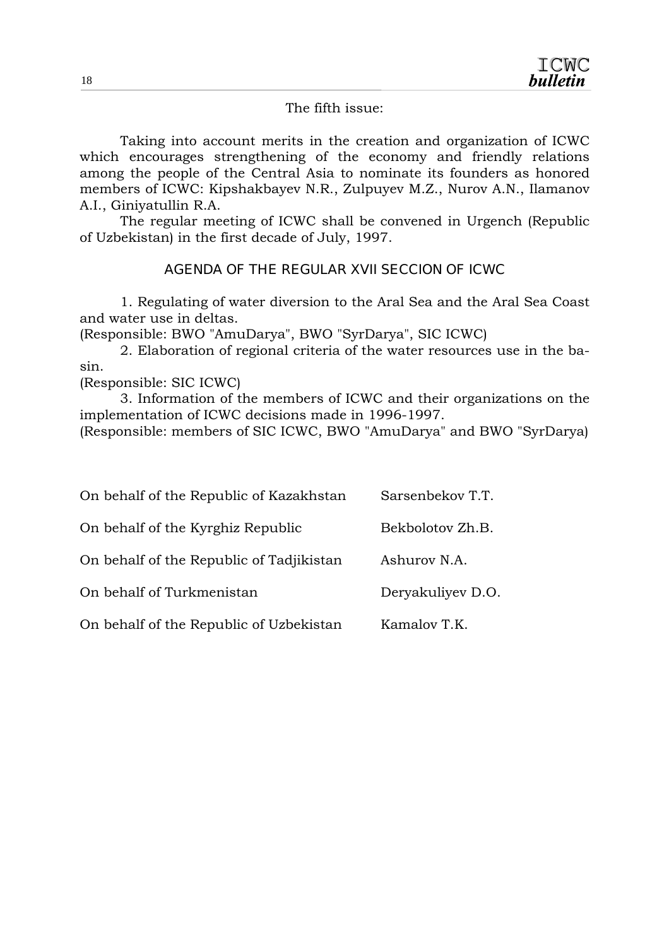The fifth issue:

 Taking into account merits in the creation and organization of ICWC which encourages strengthening of the economy and friendly relations among the people of the Central Asia to nominate its founders as honored members of ICWC: Kipshakbayev N.R., Zulpuyev M.Z., Nurov A.N., Ilamanov A.I., Giniyatullin R.A.

 The regular meeting of ICWC shall be convened in Urgench (Republic of Uzbekistan) in the first decade of July, 1997.

*AGENDA OF THE REGULAR XVII SECCION OF ICWC* 

 1. Regulating of water diversion to the Aral Sea and the Aral Sea Coast and water use in deltas.

(Responsible: BWO "AmuDarya", BWO "SyrDarya", SIC ICWC)

 2. Elaboration of regional criteria of the water resources use in the basin.

(Responsible: SIC ICWC)

 3. Information of the members of ICWC and their organizations on the implementation of ICWC decisions made in 1996-1997.

(Responsible: members of SIC ICWC, BWO "AmuDarya" and BWO "SyrDarya)

| On behalf of the Republic of Kazakhstan  | Sarsenbekov T.T.  |
|------------------------------------------|-------------------|
| On behalf of the Kyrghiz Republic        | Bekbolotov Zh.B.  |
| On behalf of the Republic of Tadjikistan | Ashurov N.A.      |
| On behalf of Turkmenistan                | Deryakuliyev D.O. |
| On behalf of the Republic of Uzbekistan  | Kamalov T.K.      |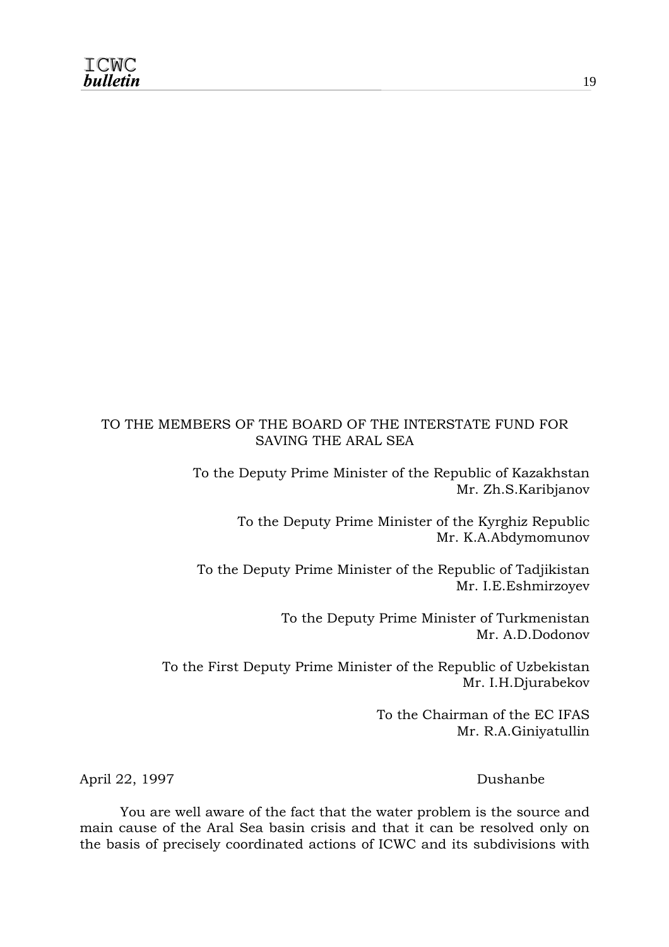#### TO THE MEMBERS OF THE BOARD OF THE INTERSTATE FUND FOR SAVING THE ARAL SEA

To the Deputy Prime Minister of the Republic of Kazakhstan Mr. Zh.S.Karibjanov

> To the Deputy Prime Minister of the Kyrghiz Republic Mr. K.A.Abdymomunov

To the Deputy Prime Minister of the Republic of Tadjikistan Mr. I.E.Eshmirzoyev

> To the Deputy Prime Minister of Turkmenistan Mr. A.D.Dodonov

To the First Deputy Prime Minister of the Republic of Uzbekistan Mr. I.H.Djurabekov

> To the Chairman of the EC IFAS Mr. R.A.Giniyatullin

April 22, 1997 Dushanbe

 You are well aware of the fact that the water problem is the source and main cause of the Aral Sea basin crisis and that it can be resolved only on the basis of precisely coordinated actions of ICWC and its subdivisions with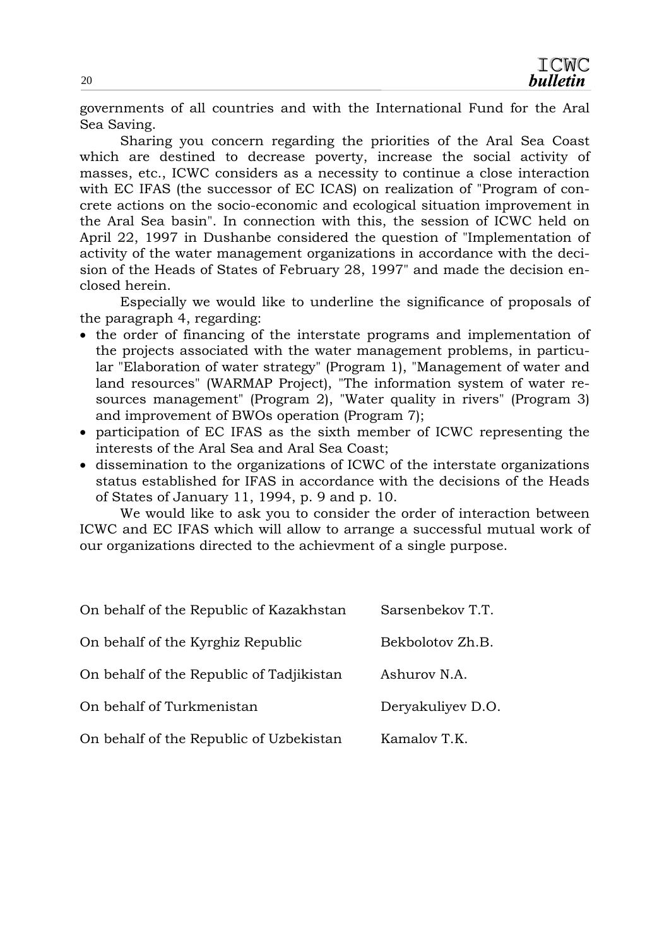governments of all countries and with the International Fund for the Aral Sea Saving.

 Sharing you concern regarding the priorities of the Aral Sea Coast which are destined to decrease poverty, increase the social activity of masses, etc., ICWC considers as a necessity to continue a close interaction with EC IFAS (the successor of EC ICAS) on realization of "Program of concrete actions on the socio-economic and ecological situation improvement in the Aral Sea basin". In connection with this, the session of ICWC held on April 22, 1997 in Dushanbe considered the question of "Implementation of activity of the water management organizations in accordance with the decision of the Heads of States of February 28, 1997" and made the decision enclosed herein.

 Especially we would like to underline the significance of proposals of the paragraph 4, regarding:

- the order of financing of the interstate programs and implementation of the projects associated with the water management problems, in particular "Elaboration of water strategy" (Program 1), "Management of water and land resources" (WARMAP Project), "The information system of water resources management" (Program 2), "Water quality in rivers" (Program 3) and improvement of BWOs operation (Program 7);
- participation of EC IFAS as the sixth member of ICWC representing the interests of the Aral Sea and Aral Sea Coast;
- dissemination to the organizations of ICWC of the interstate organizations status established for IFAS in accordance with the decisions of the Heads of States of January 11, 1994, p. 9 and p. 10.

 We would like to ask you to consider the order of interaction between ICWC and EC IFAS which will allow to arrange a successful mutual work of our organizations directed to the achievment of a single purpose.

| On behalf of the Republic of Kazakhstan  | Sarsenbekov T.T.  |
|------------------------------------------|-------------------|
| On behalf of the Kyrghiz Republic        | Bekbolotov Zh.B.  |
| On behalf of the Republic of Tadjikistan | Ashurov N.A.      |
| On behalf of Turkmenistan                | Deryakuliyev D.O. |
| On behalf of the Republic of Uzbekistan  | Kamalov T.K.      |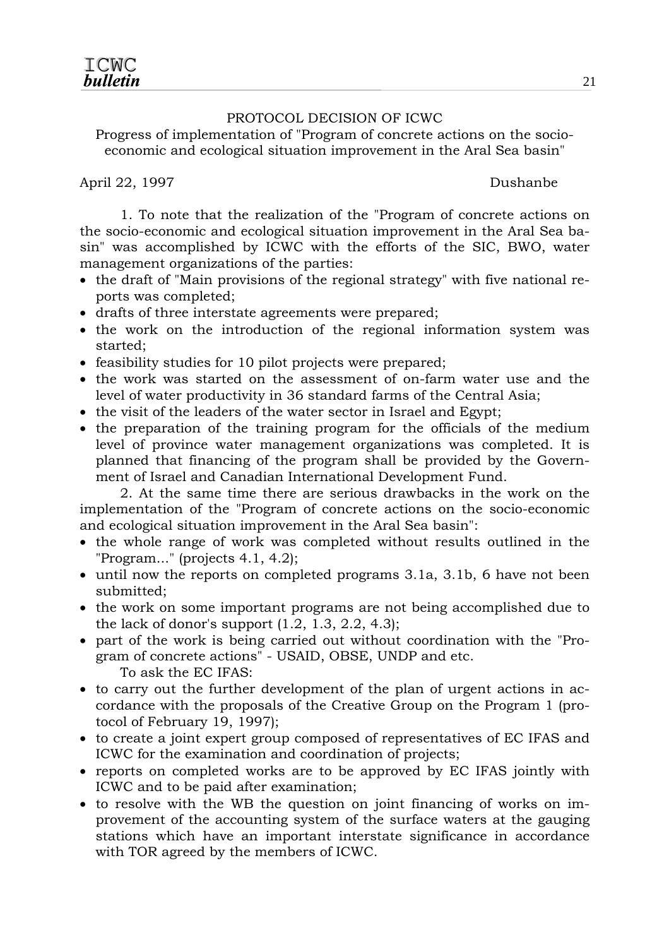#### PROTOCOL DECISION OF ICWC

Progress of implementation of "Program of concrete actions on the socioeconomic and ecological situation improvement in the Aral Sea basin"

April 22, 1997 Dushanbe

 1. To note that the realization of the "Program of concrete actions on the socio-economic and ecological situation improvement in the Aral Sea basin" was accomplished by ICWC with the efforts of the SIC, BWO, water management organizations of the parties:

- the draft of "Main provisions of the regional strategy" with five national reports was completed;
- drafts of three interstate agreements were prepared;
- the work on the introduction of the regional information system was started;
- feasibility studies for 10 pilot projects were prepared;
- the work was started on the assessment of on-farm water use and the level of water productivity in 36 standard farms of the Central Asia;
- the visit of the leaders of the water sector in Israel and Egypt;
- the preparation of the training program for the officials of the medium level of province water management organizations was completed. It is planned that financing of the program shall be provided by the Government of Israel and Canadian International Development Fund.

 2. At the same time there are serious drawbacks in the work on the implementation of the "Program of concrete actions on the socio-economic and ecological situation improvement in the Aral Sea basin":

- the whole range of work was completed without results outlined in the "Program..." (projects 4.1, 4.2);
- until now the reports on completed programs 3.1a, 3.1b, 6 have not been submitted;
- the work on some important programs are not being accomplished due to the lack of donor's support (1.2, 1.3, 2.2, 4.3);
- part of the work is being carried out without coordination with the "Program of concrete actions" - USAID, OBSE, UNDP and etc. To ask the EC IFAS:
- to carry out the further development of the plan of urgent actions in accordance with the proposals of the Creative Group on the Program 1 (protocol of February 19, 1997);
- to create a joint expert group composed of representatives of EC IFAS and ICWC for the examination and coordination of projects;
- reports on completed works are to be approved by EC IFAS jointly with ICWC and to be paid after examination;
- to resolve with the WB the question on joint financing of works on improvement of the accounting system of the surface waters at the gauging stations which have an important interstate significance in accordance with TOR agreed by the members of ICWC.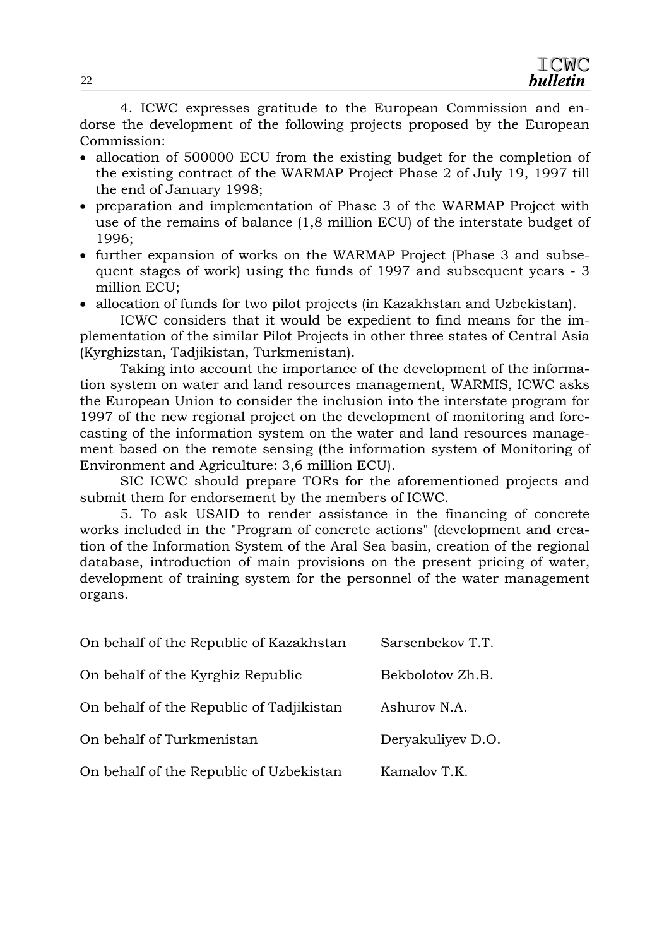4. ICWC expresses gratitude to the European Commission and endorse the development of the following projects proposed by the European Commission:

- allocation of 500000 ECU from the existing budget for the completion of the existing contract of the WARMAP Project Phase 2 of July 19, 1997 till the end of January 1998;
- preparation and implementation of Phase 3 of the WARMAP Project with use of the remains of balance (1,8 million ECU) of the interstate budget of 1996;
- further expansion of works on the WARMAP Project (Phase 3 and subsequent stages of work) using the funds of 1997 and subsequent years - 3 million ECU;
- allocation of funds for two pilot projects (in Kazakhstan and Uzbekistan).

 ICWC considers that it would be expedient to find means for the implementation of the similar Pilot Projects in other three states of Central Asia (Kyrghizstan, Tadjikistan, Turkmenistan).

 Taking into account the importance of the development of the information system on water and land resources management, WARMIS, ICWC asks the European Union to consider the inclusion into the interstate program for 1997 of the new regional project on the development of monitoring and forecasting of the information system on the water and land resources management based on the remote sensing (the information system of Monitoring of Environment and Agriculture: 3,6 million ECU).

 SIC ICWC should prepare TORs for the aforementioned projects and submit them for endorsement by the members of ICWC.

 5. To ask USAID to render assistance in the financing of concrete works included in the "Program of concrete actions" (development and creation of the Information System of the Aral Sea basin, creation of the regional database, introduction of main provisions on the present pricing of water, development of training system for the personnel of the water management organs.

| On behalf of the Republic of Kazakhstan  | Sarsenbekov T.T.  |
|------------------------------------------|-------------------|
| On behalf of the Kyrghiz Republic        | Bekbolotov Zh.B.  |
| On behalf of the Republic of Tadjikistan | Ashurov N.A.      |
| On behalf of Turkmenistan                | Deryakuliyev D.O. |
| On behalf of the Republic of Uzbekistan  | Kamalov T.K.      |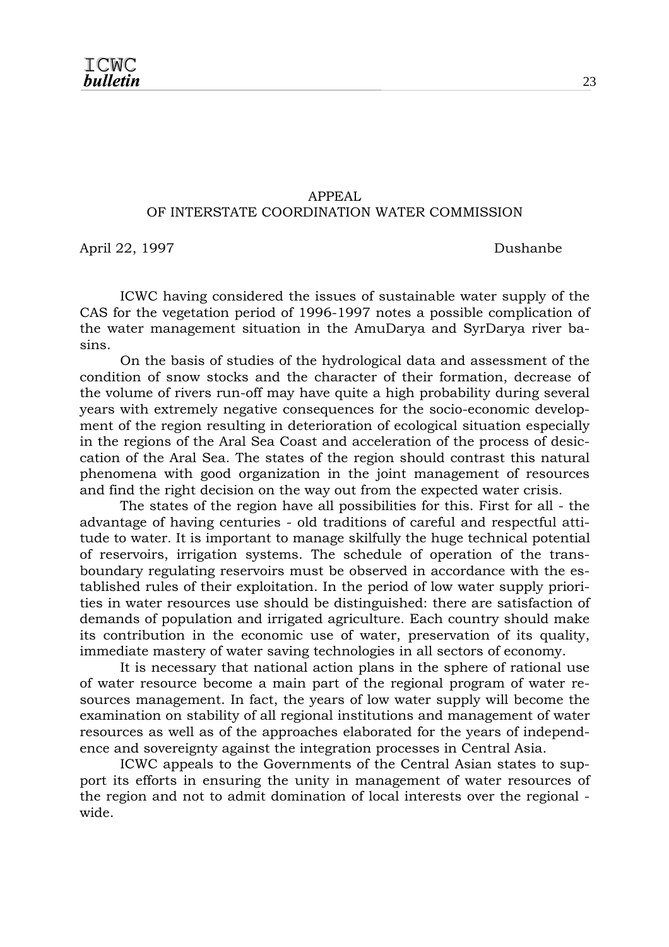#### APPEAL OF INTERSTATE COORDINATION WATER COMMISSION

April 22, 1997 Dushanbe

 ICWC having considered the issues of sustainable water supply of the CAS for the vegetation period of 1996-1997 notes a possible complication of the water management situation in the AmuDarya and SyrDarya river basins.

 On the basis of studies of the hydrological data and assessment of the condition of snow stocks and the character of their formation, decrease of the volume of rivers run-off may have quite a high probability during several years with extremely negative consequences for the socio-economic development of the region resulting in deterioration of ecological situation especially in the regions of the Aral Sea Coast and acceleration of the process of desiccation of the Aral Sea. The states of the region should contrast this natural phenomena with good organization in the joint management of resources and find the right decision on the way out from the expected water crisis.

 The states of the region have all possibilities for this. First for all - the advantage of having centuries - old traditions of careful and respectful attitude to water. It is important to manage skilfully the huge technical potential of reservoirs, irrigation systems. The schedule of operation of the transboundary regulating reservoirs must be observed in accordance with the established rules of their exploitation. In the period of low water supply priorities in water resources use should be distinguished: there are satisfaction of demands of population and irrigated agriculture. Each country should make its contribution in the economic use of water, preservation of its quality, immediate mastery of water saving technologies in all sectors of economy.

 It is necessary that national action plans in the sphere of rational use of water resource become a main part of the regional program of water resources management. In fact, the years of low water supply will become the examination on stability of all regional institutions and management of water resources as well as of the approaches elaborated for the years of independence and sovereignty against the integration processes in Central Asia.

 ICWC appeals to the Governments of the Central Asian states to support its efforts in ensuring the unity in management of water resources of the region and not to admit domination of local interests over the regional wide.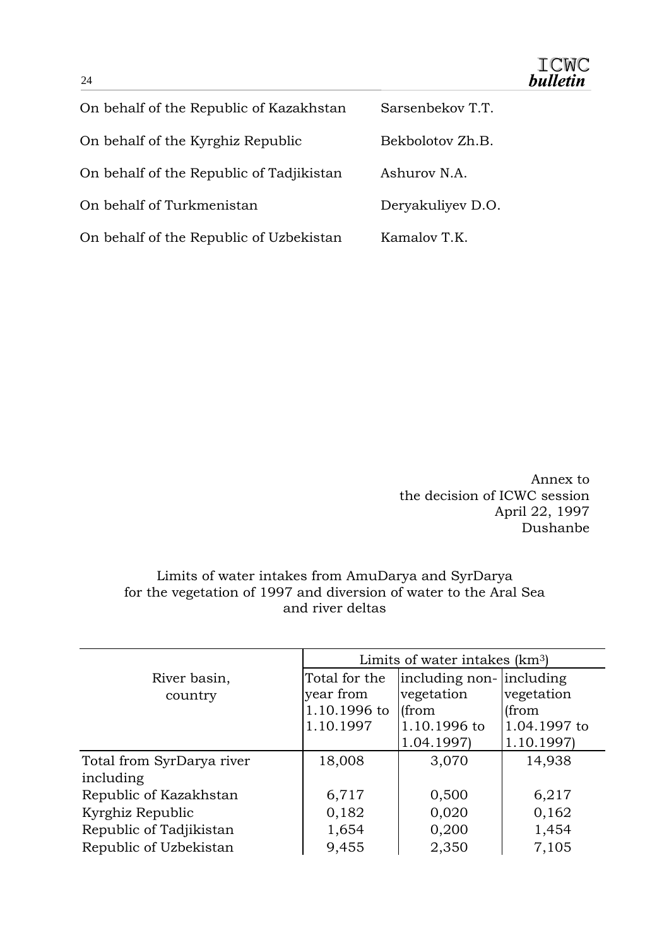| On behalf of the Republic of Kazakhstan  | Sarsenbekov T.T.  |
|------------------------------------------|-------------------|
| On behalf of the Kyrghiz Republic        | Bekbolotov Zh.B.  |
| On behalf of the Republic of Tadjikistan | Ashurov N.A.      |
| On behalf of Turkmenistan                | Deryakuliyev D.O. |
| On behalf of the Republic of Uzbekistan  | Kamalov T.K.      |

Annex to the decision of ICWC session April 22, 1997 Dushanbe

#### Limits of water intakes from AmuDarya and SyrDarya for the vegetation of 1997 and diversion of water to the Aral Sea and river deltas

|                           | Limits of water intakes (km <sup>3</sup> ) |                          |              |
|---------------------------|--------------------------------------------|--------------------------|--------------|
| River basin,              | Total for the                              | including non- including |              |
| country                   | year from                                  | vegetation               | vegetation   |
|                           | 1.10.1996 to                               | (from                    | (from        |
|                           | 1.10.1997                                  | 1.10.1996 to             | 1.04.1997 to |
|                           |                                            | 1.04.1997)               | 1.10.1997)   |
| Total from SyrDarya river | 18,008                                     | 3,070                    | 14,938       |
| including                 |                                            |                          |              |
| Republic of Kazakhstan    | 6,717                                      | 0,500                    | 6,217        |
| Kyrghiz Republic          | 0,182                                      | 0,020                    | 0,162        |
| Republic of Tadjikistan   | 1,654                                      | 0,200                    | 1,454        |
| Republic of Uzbekistan    | 9,455                                      | 2,350                    | 7,105        |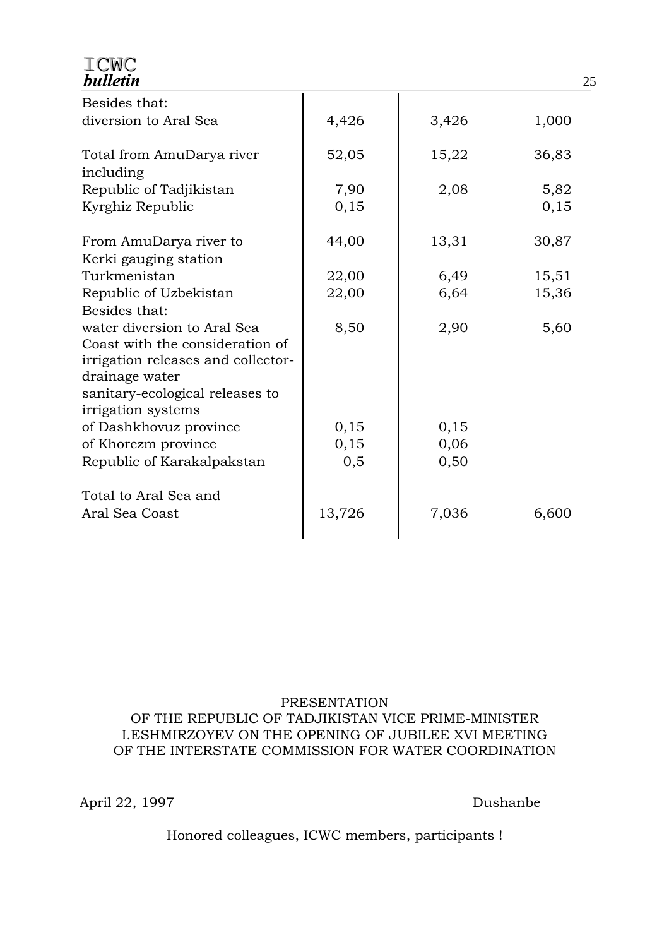| ICMC<br><b>bulletin</b>                                                                                                |        |       |       |
|------------------------------------------------------------------------------------------------------------------------|--------|-------|-------|
| Besides that:                                                                                                          |        |       |       |
| diversion to Aral Sea                                                                                                  | 4,426  | 3,426 | 1,000 |
| Total from AmuDarya river<br>including                                                                                 | 52,05  | 15,22 | 36,83 |
| Republic of Tadjikistan                                                                                                | 7,90   | 2,08  | 5,82  |
| Kyrghiz Republic                                                                                                       | 0,15   |       | 0,15  |
| From AmuDarya river to<br>Kerki gauging station                                                                        | 44,00  | 13,31 | 30,87 |
| Turkmenistan                                                                                                           | 22,00  | 6,49  | 15,51 |
| Republic of Uzbekistan                                                                                                 | 22,00  | 6,64  | 15,36 |
| Besides that:                                                                                                          |        |       |       |
| water diversion to Aral Sea<br>Coast with the consideration of<br>irrigation releases and collector-<br>drainage water | 8,50   | 2,90  | 5,60  |
| sanitary-ecological releases to                                                                                        |        |       |       |
| irrigation systems                                                                                                     |        |       |       |
| of Dashkhovuz province                                                                                                 | 0,15   | 0,15  |       |
| of Khorezm province                                                                                                    | 0,15   | 0,06  |       |
| Republic of Karakalpakstan                                                                                             | 0, 5   | 0,50  |       |
| Total to Aral Sea and                                                                                                  |        |       |       |
| Aral Sea Coast                                                                                                         | 13,726 | 7,036 | 6,600 |
|                                                                                                                        |        |       |       |

#### PRESENTATION OF THE REPUBLIC OF TADJIKISTAN VICE PRIME-MINISTER I.ESHMIRZOYEV ON THE OPENING OF JUBILEE XVI MEETING OF THE INTERSTATE COMMISSION FOR WATER COORDINATION

April 22, 1997 Dushanbe

Honored colleagues, ICWC members, participants !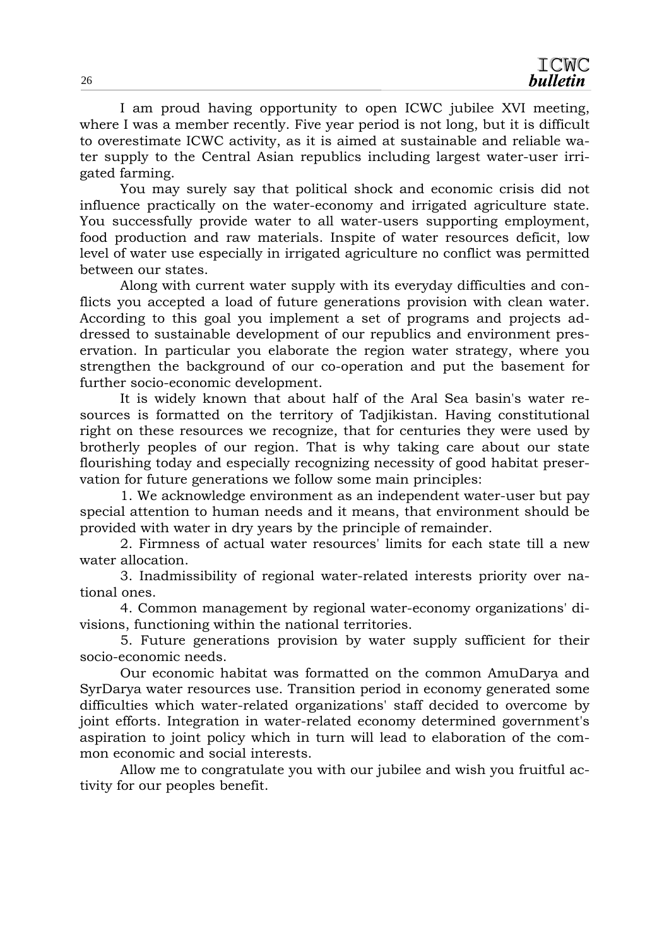I am proud having opportunity to open ICWC jubilee XVI meeting, where I was a member recently. Five year period is not long, but it is difficult to overestimate ICWC activity, as it is aimed at sustainable and reliable water supply to the Central Asian republics including largest water-user irrigated farming.

 You may surely say that political shock and economic crisis did not influence practically on the water-economy and irrigated agriculture state. You successfully provide water to all water-users supporting employment, food production and raw materials. Inspite of water resources deficit, low level of water use especially in irrigated agriculture no conflict was permitted between our states.

 Along with current water supply with its everyday difficulties and conflicts you accepted a load of future generations provision with clean water. According to this goal you implement a set of programs and projects addressed to sustainable development of our republics and environment preservation. In particular you elaborate the region water strategy, where you strengthen the background of our co-operation and put the basement for further socio-economic development.

 It is widely known that about half of the Aral Sea basin's water resources is formatted on the territory of Tadjikistan. Having constitutional right on these resources we recognize, that for centuries they were used by brotherly peoples of our region. That is why taking care about our state flourishing today and especially recognizing necessity of good habitat preservation for future generations we follow some main principles:

 1. We acknowledge environment as an independent water-user but pay special attention to human needs and it means, that environment should be provided with water in dry years by the principle of remainder.

 2. Firmness of actual water resources' limits for each state till a new water allocation.

 3. Inadmissibility of regional water-related interests priority over national ones.

 4. Common management by regional water-economy organizations' divisions, functioning within the national territories.

 5. Future generations provision by water supply sufficient for their socio-economic needs.

 Our economic habitat was formatted on the common AmuDarya and SyrDarya water resources use. Transition period in economy generated some difficulties which water-related organizations' staff decided to overcome by joint efforts. Integration in water-related economy determined government's aspiration to joint policy which in turn will lead to elaboration of the common economic and social interests.

 Allow me to congratulate you with our jubilee and wish you fruitful activity for our peoples benefit.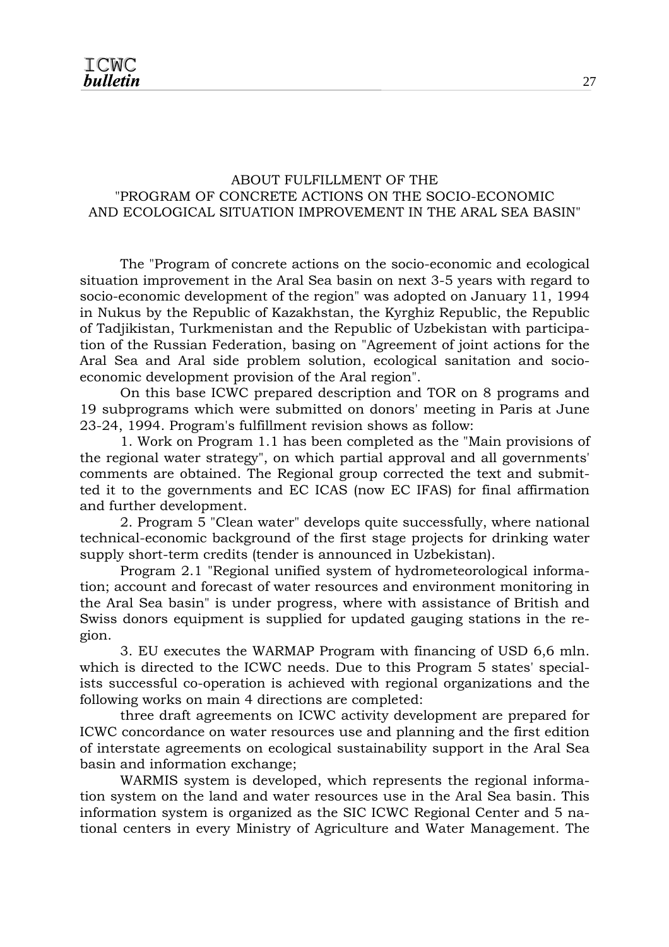#### ABOUT FULFILLMENT OF THE "PROGRAM OF CONCRETE ACTIONS ON THE SOCIO-ECONOMIC AND ECOLOGICAL SITUATION IMPROVEMENT IN THE ARAL SEA BASIN"

 The "Program of concrete actions on the socio-economic and ecological situation improvement in the Aral Sea basin on next 3-5 years with regard to socio-economic development of the region" was adopted on January 11, 1994 in Nukus by the Republic of Kazakhstan, the Kyrghiz Republic, the Republic of Tadjikistan, Turkmenistan and the Republic of Uzbekistan with participation of the Russian Federation, basing on "Agreement of joint actions for the Aral Sea and Aral side problem solution, ecological sanitation and socioeconomic development provision of the Aral region".

 On this base ICWC prepared description and TOR on 8 programs and 19 subprograms which were submitted on donors' meeting in Paris at June 23-24, 1994. Program's fulfillment revision shows as follow:

 1. Work on Program 1.1 has been completed as the "Main provisions of the regional water strategy", on which partial approval and all governments' comments are obtained. The Regional group corrected the text and submitted it to the governments and EC ICAS (now EC IFAS) for final affirmation and further development.

 2. Program 5 "Clean water" develops quite successfully, where national technical-economic background of the first stage projects for drinking water supply short-term credits (tender is announced in Uzbekistan).

 Program 2.1 "Regional unified system of hydrometeorological information; account and forecast of water resources and environment monitoring in the Aral Sea basin" is under progress, where with assistance of British and Swiss donors equipment is supplied for updated gauging stations in the region.

 3. EU executes the WARMAP Program with financing of USD 6,6 mln. which is directed to the ICWC needs. Due to this Program 5 states' specialists successful co-operation is achieved with regional organizations and the following works on main 4 directions are completed:

 three draft agreements on ICWC activity development are prepared for ICWC concordance on water resources use and planning and the first edition of interstate agreements on ecological sustainability support in the Aral Sea basin and information exchange;

 WARMIS system is developed, which represents the regional information system on the land and water resources use in the Aral Sea basin. This information system is organized as the SIC ICWC Regional Center and 5 national centers in every Ministry of Agriculture and Water Management. The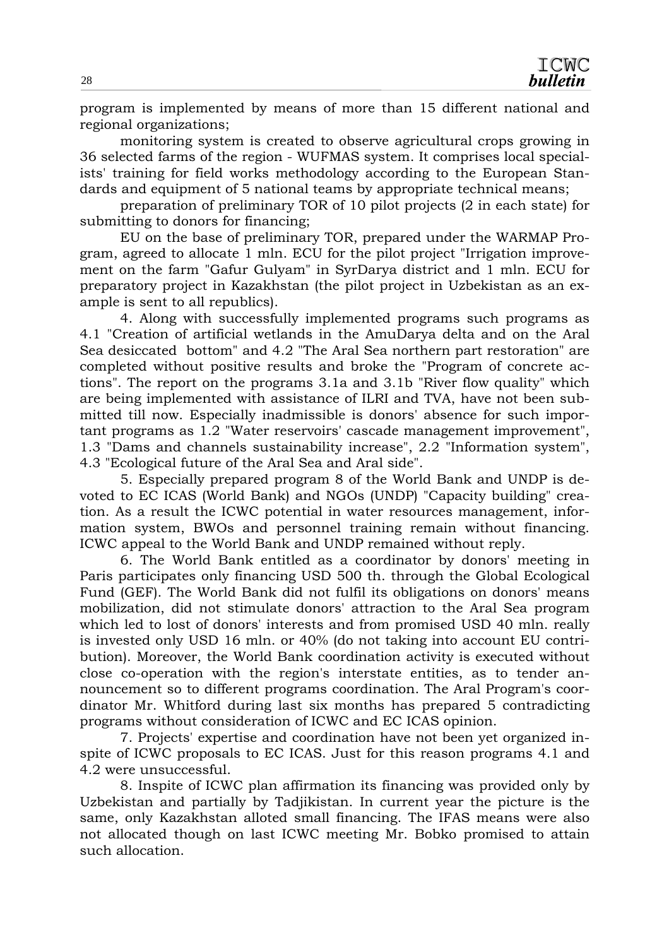program is implemented by means of more than 15 different national and regional organizations;

 monitoring system is created to observe agricultural crops growing in 36 selected farms of the region - WUFMAS system. It comprises local specialists' training for field works methodology according to the European Standards and equipment of 5 national teams by appropriate technical means;

 preparation of preliminary TOR of 10 pilot projects (2 in each state) for submitting to donors for financing;

 EU on the base of preliminary TOR, prepared under the WARMAP Program, agreed to allocate 1 mln. ECU for the pilot project "Irrigation improvement on the farm "Gafur Gulyam" in SyrDarya district and 1 mln. ECU for preparatory project in Kazakhstan (the pilot project in Uzbekistan as an example is sent to all republics).

 4. Along with successfully implemented programs such programs as 4.1 "Creation of artificial wetlands in the AmuDarya delta and on the Aral Sea desiccated bottom" and 4.2 "The Aral Sea northern part restoration" are completed without positive results and broke the "Program of concrete actions". The report on the programs 3.1a and 3.1b "River flow quality" which are being implemented with assistance of ILRI and TVA, have not been submitted till now. Especially inadmissible is donors' absence for such important programs as 1.2 "Water reservoirs' cascade management improvement", 1.3 "Dams and channels sustainability increase", 2.2 "Information system", 4.3 "Ecological future of the Aral Sea and Aral side".

 5. Especially prepared program 8 of the World Bank and UNDP is devoted to EC ICAS (World Bank) and NGOs (UNDP) "Capacity building" creation. As a result the ICWC potential in water resources management, information system, BWOs and personnel training remain without financing. ICWC appeal to the World Bank and UNDP remained without reply.

 6. The World Bank entitled as a coordinator by donors' meeting in Paris participates only financing USD 500 th. through the Global Ecological Fund (GEF). The World Bank did not fulfil its obligations on donors' means mobilization, did not stimulate donors' attraction to the Aral Sea program which led to lost of donors' interests and from promised USD 40 mln. really is invested only USD 16 mln. or 40% (do not taking into account EU contribution). Moreover, the World Bank coordination activity is executed without close co-operation with the region's interstate entities, as to tender announcement so to different programs coordination. The Aral Program's coordinator Mr. Whitford during last six months has prepared 5 contradicting programs without consideration of ICWC and EC ICAS opinion.

 7. Projects' expertise and coordination have not been yet organized inspite of ICWC proposals to EC ICAS. Just for this reason programs 4.1 and 4.2 were unsuccessful.

 8. Inspite of ICWC plan affirmation its financing was provided only by Uzbekistan and partially by Tadjikistan. In current year the picture is the same, only Kazakhstan alloted small financing. The IFAS means were also not allocated though on last ICWC meeting Mr. Bobko promised to attain such allocation.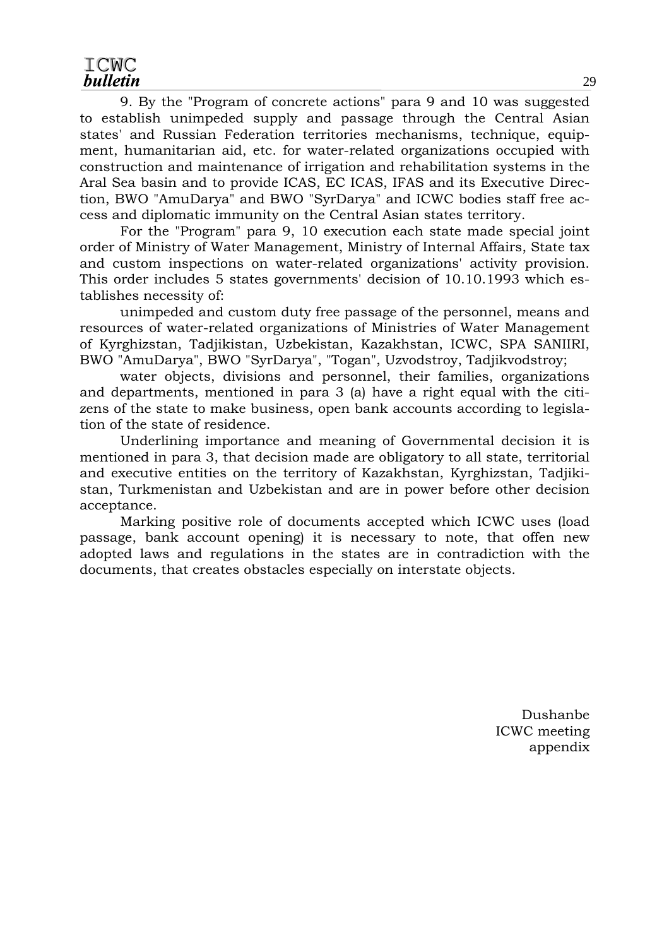#### ICWC **bulletin**

 9. By the "Program of concrete actions" para 9 and 10 was suggested to establish unimpeded supply and passage through the Central Asian states' and Russian Federation territories mechanisms, technique, equipment, humanitarian aid, etc. for water-related organizations occupied with construction and maintenance of irrigation and rehabilitation systems in the Aral Sea basin and to provide ICAS, EC ICAS, IFAS and its Executive Direction, BWO "AmuDarya" and BWO "SyrDarya" and ICWC bodies staff free access and diplomatic immunity on the Central Asian states territory.

 For the "Program" para 9, 10 execution each state made special joint order of Ministry of Water Management, Ministry of Internal Affairs, State tax and custom inspections on water-related organizations' activity provision. This order includes 5 states governments' decision of 10.10.1993 which establishes necessity of:

 unimpeded and custom duty free passage of the personnel, means and resources of water-related organizations of Ministries of Water Management of Kyrghizstan, Tadjikistan, Uzbekistan, Kazakhstan, ICWC, SPA SANIIRI, BWO "AmuDarya", BWO "SyrDarya", "Togan", Uzvodstroy, Tadjikvodstroy;

 water objects, divisions and personnel, their families, organizations and departments, mentioned in para 3 (a) have a right equal with the citizens of the state to make business, open bank accounts according to legislation of the state of residence.

 Underlining importance and meaning of Governmental decision it is mentioned in para 3, that decision made are obligatory to all state, territorial and executive entities on the territory of Kazakhstan, Kyrghizstan, Tadjikistan, Turkmenistan and Uzbekistan and are in power before other decision acceptance.

 Marking positive role of documents accepted which ICWC uses (load passage, bank account opening) it is necessary to note, that offen new adopted laws and regulations in the states are in contradiction with the documents, that creates obstacles especially on interstate objects.

> Dushanbe ICWC meeting appendix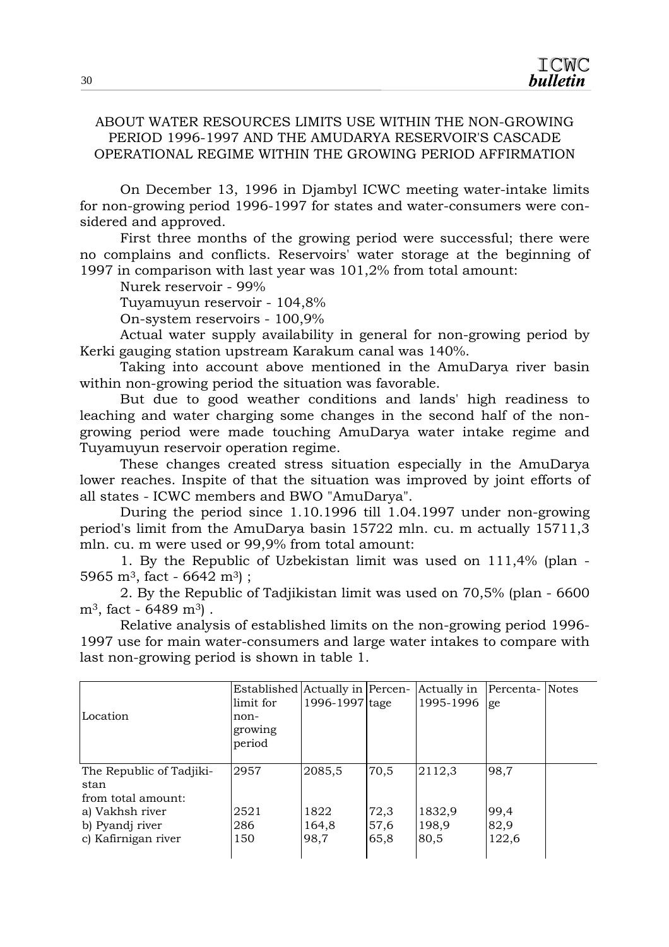#### ABOUT WATER RESOURCES LIMITS USE WITHIN THE NON-GROWING PERIOD 1996-1997 AND THE AMUDARYA RESERVOIR'S CASCADE OPERATIONAL REGIME WITHIN THE GROWING PERIOD AFFIRMATION

 On December 13, 1996 in Djambyl ICWC meeting water-intake limits for non-growing period 1996-1997 for states and water-consumers were considered and approved.

 First three months of the growing period were successful; there were no complains and conflicts. Reservoirs' water storage at the beginning of 1997 in comparison with last year was 101,2% from total amount:

Nurek reservoir - 99%

Tuyamuyun reservoir - 104,8%

On-system reservoirs - 100,9%

 Actual water supply availability in general for non-growing period by Kerki gauging station upstream Karakum canal was 140%.

 Taking into account above mentioned in the AmuDarya river basin within non-growing period the situation was favorable.

 But due to good weather conditions and lands' high readiness to leaching and water charging some changes in the second half of the nongrowing period were made touching AmuDarya water intake regime and Tuyamuyun reservoir operation regime.

 These changes created stress situation especially in the AmuDarya lower reaches. Inspite of that the situation was improved by joint efforts of all states - ICWC members and BWO "AmuDarya".

 During the period since 1.10.1996 till 1.04.1997 under non-growing period's limit from the AmuDarya basin 15722 mln. cu. m actually 15711,3 mln. cu. m were used or 99,9% from total amount:

 1. By the Republic of Uzbekistan limit was used on 111,4% (plan - 5965 m<sup>3</sup>, fact - 6642 m<sup>3</sup>) :

 2. By the Republic of Tadjikistan limit was used on 70,5% (plan - 6600  $m^3$ , fact - 6489  $m^3$ ).

 Relative analysis of established limits on the non-growing period 1996- 1997 use for main water-consumers and large water intakes to compare with last non-growing period is shown in table 1.

| Location                                                                                                            | Established Actually in Percen-<br>limit for<br>non-<br>growing<br>period | 1996-1997 tage                  |                              | Actually in<br>1995-1996          | Percenta- Notes<br>ge         |  |
|---------------------------------------------------------------------------------------------------------------------|---------------------------------------------------------------------------|---------------------------------|------------------------------|-----------------------------------|-------------------------------|--|
| The Republic of Tadjiki-<br>stan<br>from total amount:<br>a) Vakhsh river<br>b) Pyandj river<br>c) Kafirnigan river | 2957<br>2521<br>286<br>150                                                | 2085,5<br>1822<br>164,8<br>98,7 | 70,5<br>72,3<br>57,6<br>65,8 | 2112,3<br>1832,9<br>198,9<br>80,5 | 98,7<br>99,4<br>82,9<br>122,6 |  |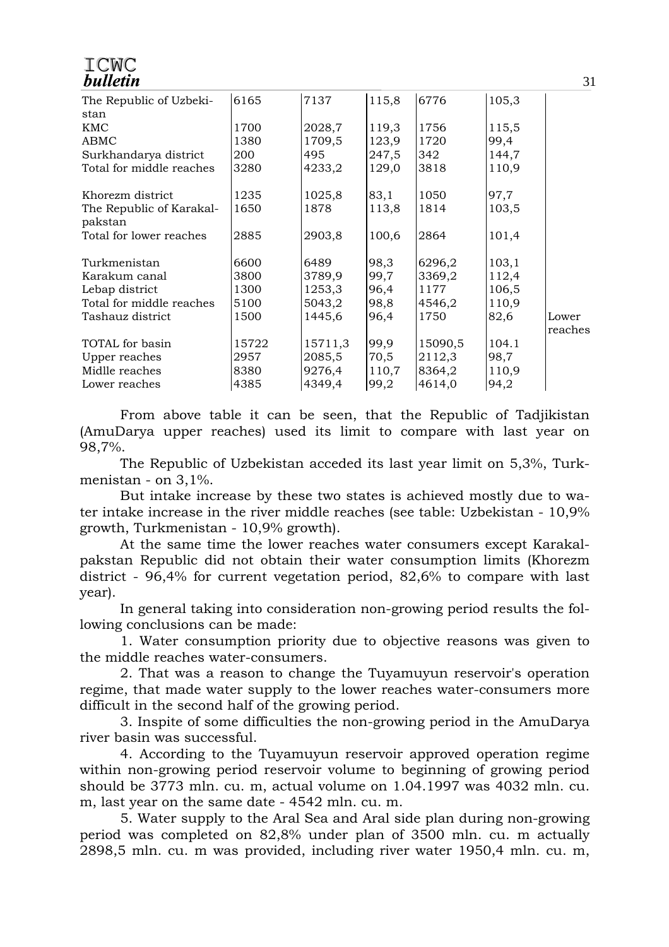#### ICMC **bulletin**

| The Republic of Uzbeki-<br>stan | 6165  | 7137    | 115,8 | 6776    | 105,3 |         |
|---------------------------------|-------|---------|-------|---------|-------|---------|
| <b>KMC</b>                      | 1700  | 2028,7  | 119,3 | 1756    | 115,5 |         |
| ABMC                            | 1380  | 1709,5  | 123,9 | 1720    | 99,4  |         |
| Surkhandarya district           | 200   | 495     | 247,5 | 342     | 144,7 |         |
| Total for middle reaches        | 3280  | 4233,2  | 129,0 | 3818    | 110,9 |         |
|                                 |       |         |       |         |       |         |
| Khorezm district                | 1235  | 1025,8  | 83,1  | 1050    | 97,7  |         |
| The Republic of Karakal-        | 1650  | 1878    | 113,8 | 1814    | 103,5 |         |
| pakstan                         |       |         |       |         |       |         |
| Total for lower reaches         | 2885  | 2903,8  | 100,6 | 2864    | 101,4 |         |
|                                 |       |         |       |         |       |         |
| Turkmenistan                    | 6600  | 6489    | 98,3  | 6296,2  | 103,1 |         |
| Karakum canal                   | 3800  | 3789,9  | 99,7  | 3369,2  | 112,4 |         |
| Lebap district                  | 1300  | 1253,3  | 96,4  | 1177    | 106,5 |         |
| Total for middle reaches        | 5100  | 5043,2  | 98,8  | 4546,2  | 110,9 |         |
| Tashauz district                | 1500  | 1445,6  | 96,4  | 1750    | 82,6  | Lower   |
|                                 |       |         |       |         |       | reaches |
| TOTAL for basin                 | 15722 | 15711,3 | 99,9  | 15090,5 | 104.1 |         |
| Upper reaches                   | 2957  | 2085,5  | 70,5  | 2112,3  | 98,7  |         |
| Midlle reaches                  | 8380  | 9276,4  | 110,7 | 8364,2  | 110,9 |         |
| Lower reaches                   | 4385  | 4349,4  | 99,2  | 4614,0  | 94,2  |         |

 From above table it can be seen, that the Republic of Tadjikistan (AmuDarya upper reaches) used its limit to compare with last year on 98,7%.

 The Republic of Uzbekistan acceded its last year limit on 5,3%, Turkmenistan - on 3,1%.

 But intake increase by these two states is achieved mostly due to water intake increase in the river middle reaches (see table: Uzbekistan - 10,9% growth, Turkmenistan - 10,9% growth).

 At the same time the lower reaches water consumers except Karakalpakstan Republic did not obtain their water consumption limits (Khorezm district - 96,4% for current vegetation period, 82,6% to compare with last year).

 In general taking into consideration non-growing period results the following conclusions can be made:

 1. Water consumption priority due to objective reasons was given to the middle reaches water-consumers.

 2. That was a reason to change the Tuyamuyun reservoir's operation regime, that made water supply to the lower reaches water-consumers more difficult in the second half of the growing period.

 3. Inspite of some difficulties the non-growing period in the AmuDarya river basin was successful.

 4. According to the Tuyamuyun reservoir approved operation regime within non-growing period reservoir volume to beginning of growing period should be 3773 mln. cu. m, actual volume on 1.04.1997 was 4032 mln. cu. m, last year on the same date - 4542 mln. cu. m.

 5. Water supply to the Aral Sea and Aral side plan during non-growing period was completed on 82,8% under plan of 3500 mln. cu. m actually 2898,5 mln. cu. m was provided, including river water 1950,4 mln. cu. m,

31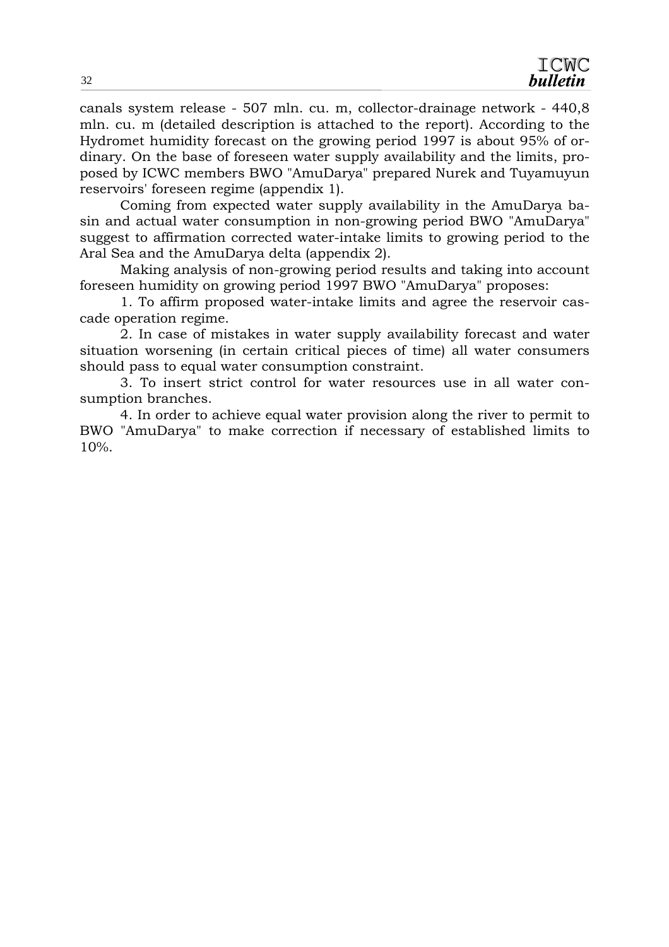canals system release - 507 mln. cu. m, collector-drainage network - 440,8 mln. cu. m (detailed description is attached to the report). According to the Hydromet humidity forecast on the growing period 1997 is about 95% of ordinary. On the base of foreseen water supply availability and the limits, proposed by ICWC members BWO "AmuDarya" prepared Nurek and Tuyamuyun reservoirs' foreseen regime (appendix 1).

 Coming from expected water supply availability in the AmuDarya basin and actual water consumption in non-growing period BWO "AmuDarya" suggest to affirmation corrected water-intake limits to growing period to the Aral Sea and the AmuDarya delta (appendix 2).

 Making analysis of non-growing period results and taking into account foreseen humidity on growing period 1997 BWO "AmuDarya" proposes:

 1. To affirm proposed water-intake limits and agree the reservoir cascade operation regime.

 2. In case of mistakes in water supply availability forecast and water situation worsening (in certain critical pieces of time) all water consumers should pass to equal water consumption constraint.

 3. To insert strict control for water resources use in all water consumption branches.

 4. In order to achieve equal water provision along the river to permit to BWO "AmuDarya" to make correction if necessary of established limits to 10%.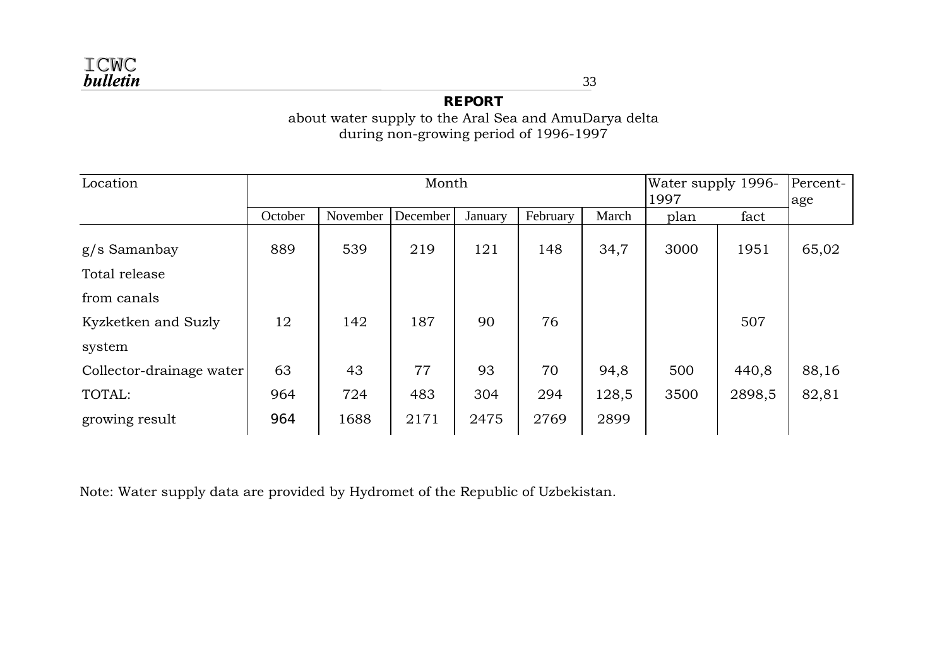**REPORT**  about water supply to the Aral Sea and AmuDarya delta during non-growing period of 1996-1997

| Location                 |         |          | Month    | Water supply 1996-<br>1997 | Percent-<br>age |       |      |        |       |
|--------------------------|---------|----------|----------|----------------------------|-----------------|-------|------|--------|-------|
|                          | October | November | December | January                    | February        | March | plan | fact   |       |
| g/s Samanbay             | 889     | 539      | 219      | 121                        | 148             | 34,7  | 3000 | 1951   | 65,02 |
| Total release            |         |          |          |                            |                 |       |      |        |       |
| from canals              |         |          |          |                            |                 |       |      |        |       |
| Kyzketken and Suzly      | 12      | 142      | 187      | 90                         | 76              |       |      | 507    |       |
| system                   |         |          |          |                            |                 |       |      |        |       |
| Collector-drainage water | 63      | 43       | 77       | 93                         | 70              | 94,8  | 500  | 440,8  | 88,16 |
| TOTAL:                   | 964     | 724      | 483      | 304                        | 294             | 128,5 | 3500 | 2898,5 | 82,81 |
| growing result           | 964     | 1688     | 2171     | 2475                       | 2769            | 2899  |      |        |       |

Note: Water supply data are provided by Hydromet of the Republic of Uzbekistan.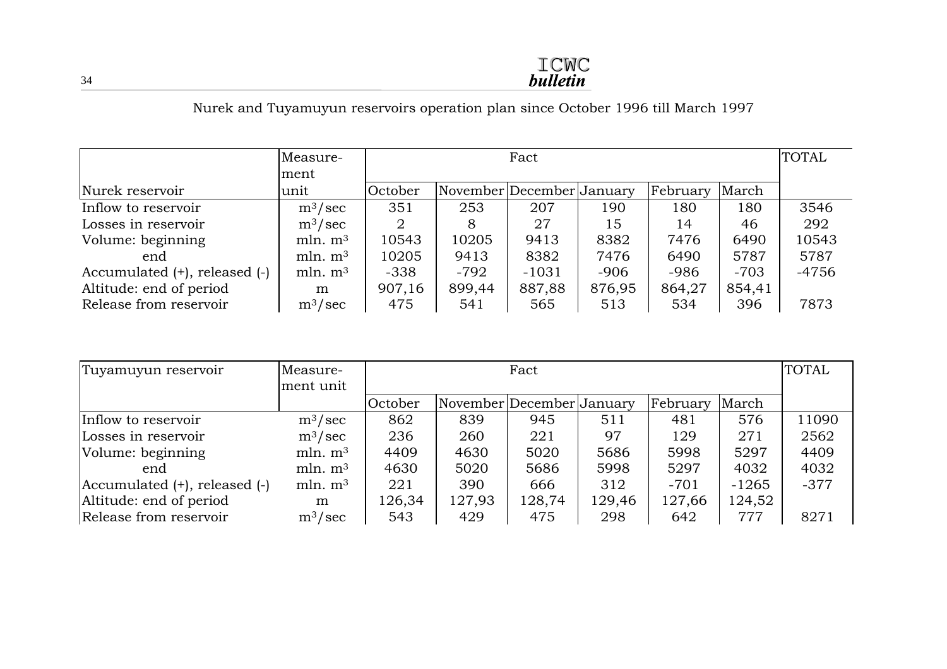### Nurek and Tuyamuyun reservoirs operation plan since October 1996 till March 1997

|                                    | Measure-<br>ment    |         | Fact                      |         |        |          |        |         |
|------------------------------------|---------------------|---------|---------------------------|---------|--------|----------|--------|---------|
| Nurek reservoir                    | unit                | October | November December January |         |        | February | March  |         |
| Inflow to reservoir                | $\rm m^3/sec$       | 351     | 253                       | 207     | 190    | 180      | 180    | 3546    |
| Losses in reservoir                | $\rm m^3/sec$       | 2       | 8                         | 27      | 15     | 14       | 46     | 292     |
| Volume: beginning                  | mln. m <sup>3</sup> | 10543   | 10205                     | 9413    | 8382   | 7476     | 6490   | 10543   |
| end                                | mln. m <sup>3</sup> | 10205   | 9413                      | 8382    | 7476   | 6490     | 5787   | 5787    |
| Accumulated $(+)$ , released $(-)$ | mln. m <sup>3</sup> | $-338$  | -792                      | $-1031$ | $-906$ | -986     | $-703$ | $-4756$ |
| Altitude: end of period            | m                   | 907,16  | 899,44                    | 887,88  | 876,95 | 864,27   | 854,41 |         |
| Release from reservoir             | $\rm m^3/sec$       | 475     | 541                       | 565     | 513    | 534      | 396    | 7873    |

| Tuyamuyun reservoir              | Measure-<br>ment unit |         | Fact                      |        |        |          |        |        |
|----------------------------------|-----------------------|---------|---------------------------|--------|--------|----------|--------|--------|
|                                  |                       | October | November December January |        |        | February | March  |        |
| Inflow to reservoir              | $\rm m^3/sec$         | 862     | 839                       | 945    | 511    | 481      | 576    | 11090  |
| Losses in reservoir              | $\rm m^3/sec$         | 236     | 260                       | 221    | 97     | 129      | 271    | 2562   |
| Volume: beginning                | mln. m <sup>3</sup>   | 4409    | 4630                      | 5020   | 5686   | 5998     | 5297   | 4409   |
| end                              | mln. m <sup>3</sup>   | 4630    | 5020                      | 5686   | 5998   | 5297     | 4032   | 4032   |
| $ Accumulated (+), released (-)$ | mln. m <sup>3</sup>   | 221     | 390                       | 666    | 312    | $-701$   | -1265  | $-377$ |
| Altitude: end of period          | m                     | 126,34  | 127,93                    | 128,74 | 129,46 | 127,66   | 124,52 |        |
| Release from reservoir           | $\rm m^3/sec$         | 543     | 429                       | 475    | 298    | 642      | 777    | 8271   |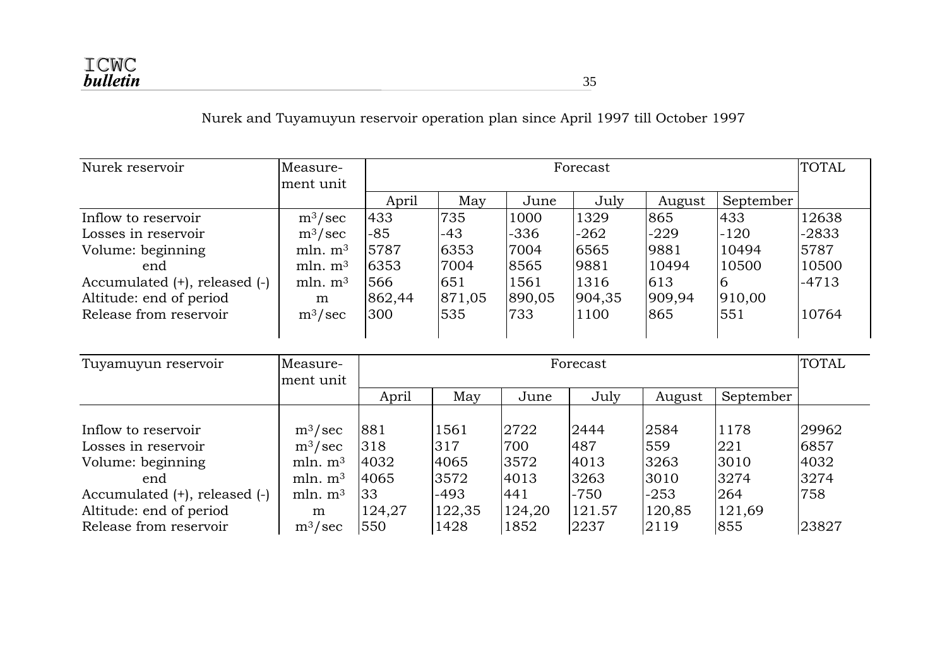Nurek and Tuyamuyun reservoir operation plan since April 1997 till October 1997

| Nurek reservoir                    | Measure-<br>ment unit |        | Forecast |        |        |        |           |         |  |  |
|------------------------------------|-----------------------|--------|----------|--------|--------|--------|-----------|---------|--|--|
|                                    |                       | April  | May      | June   | July   | August | September |         |  |  |
| Inflow to reservoir                | $\rm m^3/sec$         | 433    | 735      | 1000   | 1329   | 865    | 433       | 12638   |  |  |
| Losses in reservoir                | $\rm m^3/sec$         | $-85$  | -43      | -336   | $-262$ | $-229$ | $-120$    | $-2833$ |  |  |
| Volume: beginning                  | mln. m <sup>3</sup>   | 5787   | 6353     | 7004   | 6565   | 9881   | 10494     | 5787    |  |  |
| end                                | mln. m <sup>3</sup>   | 6353   | 7004     | 8565   | 9881   | 10494  | 10500     | 10500   |  |  |
| Accumulated $(+)$ , released $(-)$ | mln. m <sup>3</sup>   | 566    | 651      | 1561   | 1316   | 613    | <b>6</b>  | $-4713$ |  |  |
| Altitude: end of period            | m                     | 862,44 | 871,05   | 890,05 | 904,35 | 909,94 | 910,00    |         |  |  |
| Release from reservoir             | $\rm m^3/sec$         | 300    | 535      | 733    | 1100   | 865    | 551       | 10764   |  |  |

| Tuyamuyun reservoir                | Measure-            |        | Forecast |        |        |        |           |       |  |  |
|------------------------------------|---------------------|--------|----------|--------|--------|--------|-----------|-------|--|--|
|                                    | ment unit           | April  | May      | June   | July   | August | September |       |  |  |
| Inflow to reservoir                | $\rm m^3/sec$       | 881    | 1561     | 2722   | 2444   | 2584   | 1178      | 29962 |  |  |
| Losses in reservoir                | $m^3/sec$           | 318    | 317      | 700    | 487    | 559    | 221       | 6857  |  |  |
| Volume: beginning                  | mln. m <sup>3</sup> | 4032   | 4065     | 3572   | 4013   | 3263   | 3010      | 4032  |  |  |
| end                                | mln. m <sup>3</sup> | 4065   | 3572     | 4013   | 3263   | 3010   | 3274      | 3274  |  |  |
| Accumulated $(+)$ , released $(-)$ | mln. m <sup>3</sup> | 33     | $-493$   | 441    | $-750$ | $-253$ | 264       | 758   |  |  |
| Altitude: end of period            | m                   | 124,27 | 122,35   | 124,20 | 121.57 | 120,85 | 121,69    |       |  |  |
| Release from reservoir             | $m^3/sec$           | 550    | 1428     | 1852   | 2237   | 2119   | 855       | 23827 |  |  |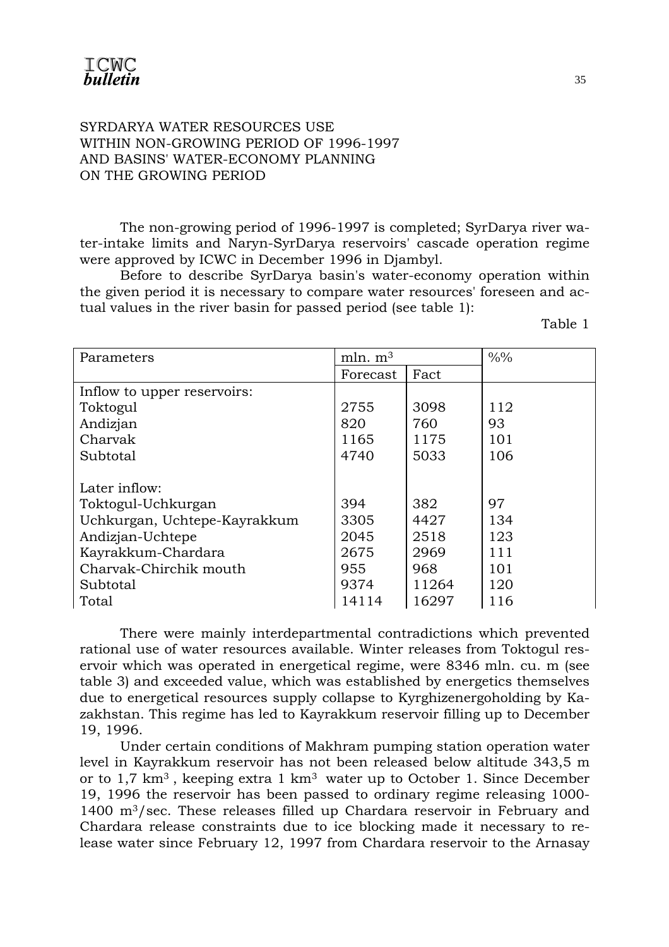#### SYRDARYA WATER RESOURCES USE WITHIN NON-GROWING PERIOD OF 1996-1997 AND BASINS' WATER-ECONOMY PLANNING ON THE GROWING PERIOD

 The non-growing period of 1996-1997 is completed; SyrDarya river water-intake limits and Naryn-SyrDarya reservoirs' cascade operation regime were approved by ICWC in December 1996 in Djambyl.

 Before to describe SyrDarya basin's water-economy operation within the given period it is necessary to compare water resources' foreseen and actual values in the river basin for passed period (see table 1):

Table 1

| Parameters                   | mln. m <sup>3</sup> |       | $\frac{9}{0}$ |
|------------------------------|---------------------|-------|---------------|
|                              | Forecast            | Fact  |               |
| Inflow to upper reservoirs:  |                     |       |               |
| Toktogul                     | 2755                | 3098  | 112           |
| Andizjan                     | 820                 | 760   | 93            |
| Charvak                      | 1165                | 1175  | 101           |
| Subtotal                     | 4740                | 5033  | 106           |
|                              |                     |       |               |
| Later inflow:                |                     |       |               |
| Toktogul-Uchkurgan           | 394                 | 382   | 97            |
| Uchkurgan, Uchtepe-Kayrakkum | 3305                | 4427  | 134           |
| Andizjan-Uchtepe             | 2045                | 2518  | 123           |
| Kayrakkum-Chardara           | 2675                | 2969  | 111           |
| Charvak-Chirchik mouth       | 955                 | 968   | 101           |
| Subtotal                     | 9374                | 11264 | 120           |
| Total                        | 14114               | 16297 | 116           |

 There were mainly interdepartmental contradictions which prevented rational use of water resources available. Winter releases from Toktogul reservoir which was operated in energetical regime, were 8346 mln. cu. m (see table 3) and exceeded value, which was established by energetics themselves due to energetical resources supply collapse to Kyrghizenergoholding by Kazakhstan. This regime has led to Kayrakkum reservoir filling up to December 19, 1996.

 Under certain conditions of Makhram pumping station operation water level in Kayrakkum reservoir has not been released below altitude 343,5 m or to 1,7 km3 , keeping extra 1 km3 water up to October 1. Since December 19, 1996 the reservoir has been passed to ordinary regime releasing 1000- 1400 m3/sec. These releases filled up Chardara reservoir in February and Chardara release constraints due to ice blocking made it necessary to release water since February 12, 1997 from Chardara reservoir to the Arnasay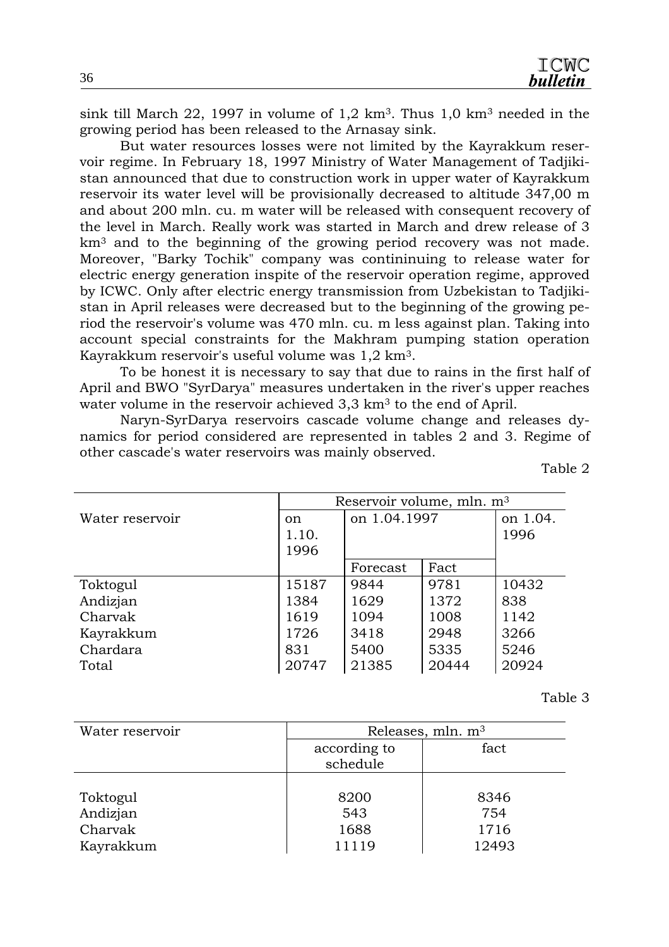sink till March 22, 1997 in volume of 1,2 km<sup>3</sup>. Thus 1,0 km<sup>3</sup> needed in the growing period has been released to the Arnasay sink.

 But water resources losses were not limited by the Kayrakkum reservoir regime. In February 18, 1997 Ministry of Water Management of Tadjikistan announced that due to construction work in upper water of Kayrakkum reservoir its water level will be provisionally decreased to altitude 347,00 m and about 200 mln. cu. m water will be released with consequent recovery of the level in March. Really work was started in March and drew release of 3 km<sup>3</sup> and to the beginning of the growing period recovery was not made. Moreover, "Barky Tochik" company was contininuing to release water for electric energy generation inspite of the reservoir operation regime, approved by ICWC. Only after electric energy transmission from Uzbekistan to Tadjikistan in April releases were decreased but to the beginning of the growing period the reservoir's volume was 470 mln. cu. m less against plan. Taking into account special constraints for the Makhram pumping station operation Kayrakkum reservoir's useful volume was 1,2 km3.

 To be honest it is necessary to say that due to rains in the first half of April and BWO "SyrDarya" measures undertaken in the river's upper reaches water volume in the reservoir achieved 3,3 km<sup>3</sup> to the end of April.

 Naryn-SyrDarya reservoirs cascade volume change and releases dynamics for period considered are represented in tables 2 and 3. Regime of other cascade's water reservoirs was mainly observed.

|  |  | Table |  |
|--|--|-------|--|
|--|--|-------|--|

|                 | Reservoir volume, mln. m <sup>3</sup> |              |          |       |  |  |
|-----------------|---------------------------------------|--------------|----------|-------|--|--|
| Water reservoir | <sub>on</sub>                         | on 1.04.1997 | on 1.04. |       |  |  |
|                 | 1.10.                                 |              |          | 1996  |  |  |
|                 | 1996                                  |              |          |       |  |  |
|                 |                                       | Forecast     | Fact     |       |  |  |
| Toktogul        | 15187                                 | 9844         | 9781     | 10432 |  |  |
| Andizjan        | 1384                                  | 1629         | 1372     | 838   |  |  |
| Charvak         | 1619                                  | 1094         | 1008     | 1142  |  |  |
| Kayrakkum       | 1726                                  | 3418         | 2948     | 3266  |  |  |
| Chardara        | 831                                   | 5400         | 5335     | 5246  |  |  |
| Total           | 20747                                 | 21385        | 20444    | 20924 |  |  |

Table 3

| Water reservoir | Releases, $mln. m3$ |       |  |  |  |  |
|-----------------|---------------------|-------|--|--|--|--|
|                 | according to        | fact  |  |  |  |  |
|                 | schedule            |       |  |  |  |  |
|                 |                     |       |  |  |  |  |
| Toktogul        | 8200                | 8346  |  |  |  |  |
| Andizjan        | 543                 | 754   |  |  |  |  |
| Charvak         | 1688                | 1716  |  |  |  |  |
| Kayrakkum       | 11119               | 12493 |  |  |  |  |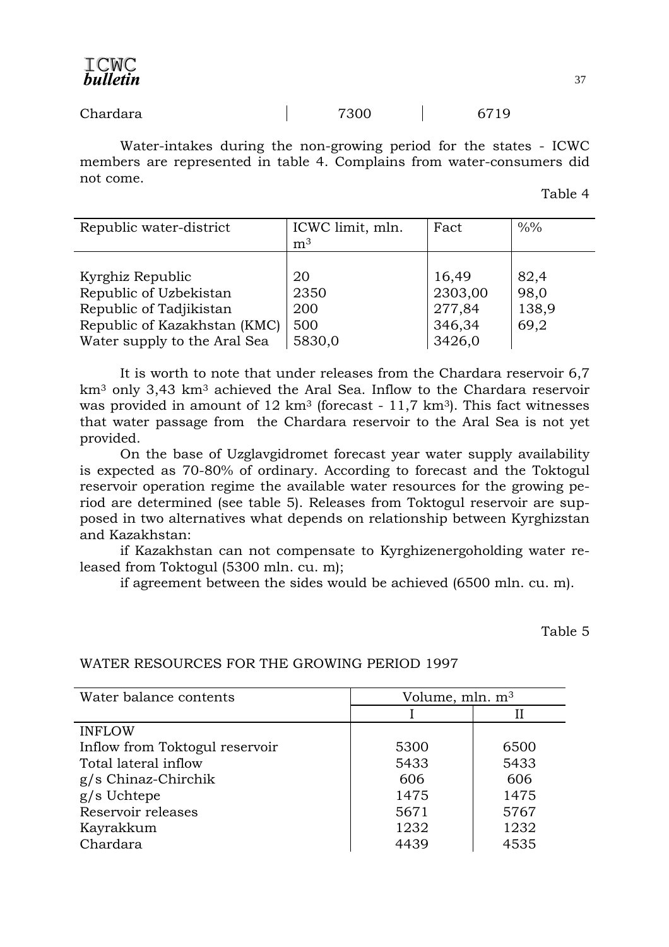Water-intakes during the non-growing period for the states - ICWC members are represented in table 4. Complains from water-consumers did not come.

Table 4

| Republic water-district      | ICWC limit, mln. | Fact    | $\frac{0}{0}$ % |
|------------------------------|------------------|---------|-----------------|
|                              | m <sup>3</sup>   |         |                 |
|                              |                  |         |                 |
| Kyrghiz Republic             | 20               | 16,49   | 82,4            |
| Republic of Uzbekistan       | 2350             | 2303,00 | 98,0            |
| Republic of Tadjikistan      | 200              | 277,84  | 138,9           |
| Republic of Kazakhstan (KMC) | 500              | 346,34  | 69,2            |
| Water supply to the Aral Sea | 5830,0           | 3426,0  |                 |

 It is worth to note that under releases from the Chardara reservoir 6,7 km3 only 3,43 km3 achieved the Aral Sea. Inflow to the Chardara reservoir was provided in amount of  $12 \text{ km}^3$  (forecast -  $11.7 \text{ km}^3$ ). This fact witnesses that water passage from the Chardara reservoir to the Aral Sea is not yet provided.

 On the base of Uzglavgidromet forecast year water supply availability is expected as 70-80% of ordinary. According to forecast and the Toktogul reservoir operation regime the available water resources for the growing period are determined (see table 5). Releases from Toktogul reservoir are supposed in two alternatives what depends on relationship between Kyrghizstan and Kazakhstan:

 if Kazakhstan can not compensate to Kyrghizenergoholding water released from Toktogul (5300 mln. cu. m);

if agreement between the sides would be achieved (6500 mln. cu. m).

Table 5

| Water balance contents         | Volume, mln. m <sup>3</sup> |      |  |
|--------------------------------|-----------------------------|------|--|
|                                |                             | Н    |  |
| <b>INFLOW</b>                  |                             |      |  |
| Inflow from Toktogul reservoir | 5300                        | 6500 |  |
| Total lateral inflow           | 5433                        | 5433 |  |
| $g/s$ Chinaz-Chirchik          | 606                         | 606  |  |
| $g/s$ Uchtepe                  | 1475                        | 1475 |  |
| Reservoir releases             | 5671                        | 5767 |  |
| Kayrakkum                      | 1232                        | 1232 |  |
| Chardara                       | 4439                        | 4535 |  |

#### WATER RESOURCES FOR THE GROWING PERIOD 1997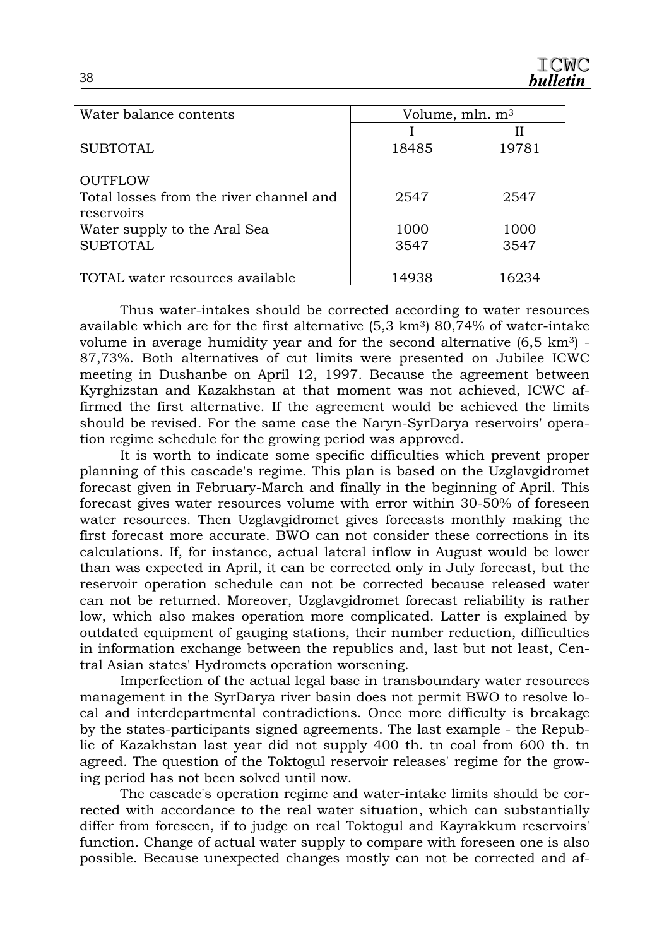| Water balance contents                                | Volume, mln. $m3$ |       |  |
|-------------------------------------------------------|-------------------|-------|--|
|                                                       |                   | Н     |  |
| <b>SUBTOTAL</b>                                       | 18485             | 19781 |  |
| <b>OUTFLOW</b>                                        |                   |       |  |
| Total losses from the river channel and<br>reservoirs | 2547              | 2547  |  |
| Water supply to the Aral Sea                          | 1000              | 1000  |  |
| <b>SUBTOTAL</b>                                       | 3547              | 3547  |  |
| TOTAL water resources available                       | 14938             | 16234 |  |

 Thus water-intakes should be corrected according to water resources available which are for the first alternative  $(5.3 \text{ km}^3)$   $80.74\%$  of water-intake volume in average humidity year and for the second alternative  $(6,5 \text{ km}^3)$  -87,73%. Both alternatives of cut limits were presented on Jubilee ICWC meeting in Dushanbe on April 12, 1997. Because the agreement between Kyrghizstan and Kazakhstan at that moment was not achieved, ICWC affirmed the first alternative. If the agreement would be achieved the limits should be revised. For the same case the Naryn-SyrDarya reservoirs' operation regime schedule for the growing period was approved.

 It is worth to indicate some specific difficulties which prevent proper planning of this cascade's regime. This plan is based on the Uzglavgidromet forecast given in February-March and finally in the beginning of April. This forecast gives water resources volume with error within 30-50% of foreseen water resources. Then Uzglavgidromet gives forecasts monthly making the first forecast more accurate. BWO can not consider these corrections in its calculations. If, for instance, actual lateral inflow in August would be lower than was expected in April, it can be corrected only in July forecast, but the reservoir operation schedule can not be corrected because released water can not be returned. Moreover, Uzglavgidromet forecast reliability is rather low, which also makes operation more complicated. Latter is explained by outdated equipment of gauging stations, their number reduction, difficulties in information exchange between the republics and, last but not least, Central Asian states' Hydromets operation worsening.

 Imperfection of the actual legal base in transboundary water resources management in the SyrDarya river basin does not permit BWO to resolve local and interdepartmental contradictions. Once more difficulty is breakage by the states-participants signed agreements. The last example - the Republic of Kazakhstan last year did not supply 400 th. tn coal from 600 th. tn agreed. The question of the Toktogul reservoir releases' regime for the growing period has not been solved until now.

 The cascade's operation regime and water-intake limits should be corrected with accordance to the real water situation, which can substantially differ from foreseen, if to judge on real Toktogul and Kayrakkum reservoirs' function. Change of actual water supply to compare with foreseen one is also possible. Because unexpected changes mostly can not be corrected and af-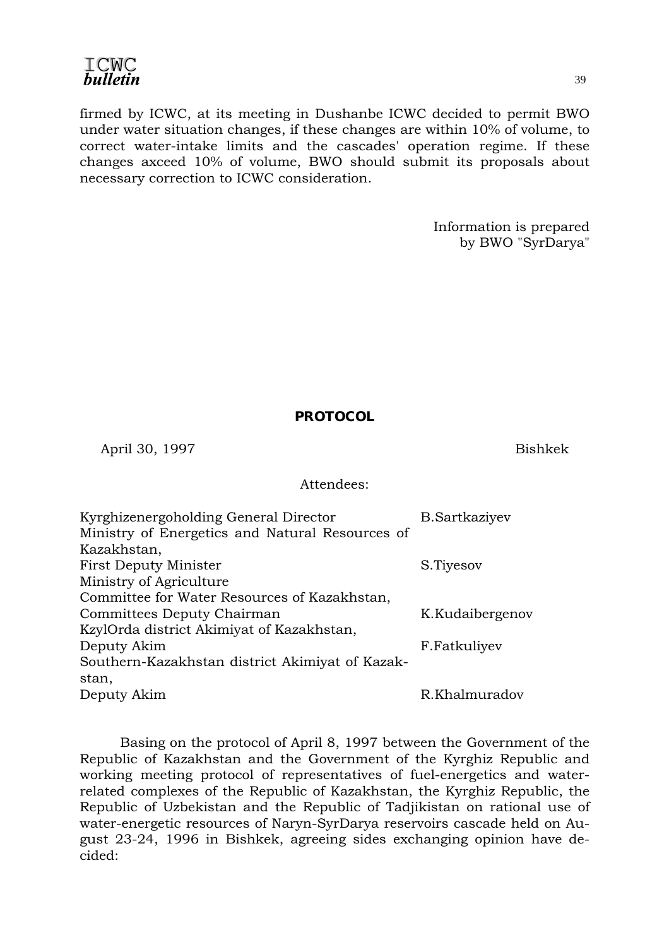firmed by ICWC, at its meeting in Dushanbe ICWC decided to permit BWO under water situation changes, if these changes are within 10% of volume, to correct water-intake limits and the cascades' operation regime. If these changes axceed 10% of volume, BWO should submit its proposals about necessary correction to ICWC consideration.

> Information is prepared by BWO "SyrDarya"

#### **PROTOCOL**

April 30, 1997 Bishkek

#### Attendees:

| Kyrghizenergoholding General Director<br>Ministry of Energetics and Natural Resources of | <b>B.Sartkaziyev</b> |
|------------------------------------------------------------------------------------------|----------------------|
| Kazakhstan,                                                                              |                      |
| <b>First Deputy Minister</b>                                                             | S.Tiyesov            |
| Ministry of Agriculture                                                                  |                      |
| Committee for Water Resources of Kazakhstan,                                             |                      |
| Committees Deputy Chairman                                                               | K.Kudaibergenov      |
| KzylOrda district Akimiyat of Kazakhstan,                                                |                      |
| Deputy Akim                                                                              | F.Fatkuliyev         |
| Southern-Kazakhstan district Akimiyat of Kazak-                                          |                      |
| stan,                                                                                    |                      |
| Deputy Akim                                                                              | R.Khalmuradov        |

 Basing on the protocol of April 8, 1997 between the Government of the Republic of Kazakhstan and the Government of the Kyrghiz Republic and working meeting protocol of representatives of fuel-energetics and waterrelated complexes of the Republic of Kazakhstan, the Kyrghiz Republic, the Republic of Uzbekistan and the Republic of Tadjikistan on rational use of water-energetic resources of Naryn-SyrDarya reservoirs cascade held on August 23-24, 1996 in Bishkek, agreeing sides exchanging opinion have decided:

39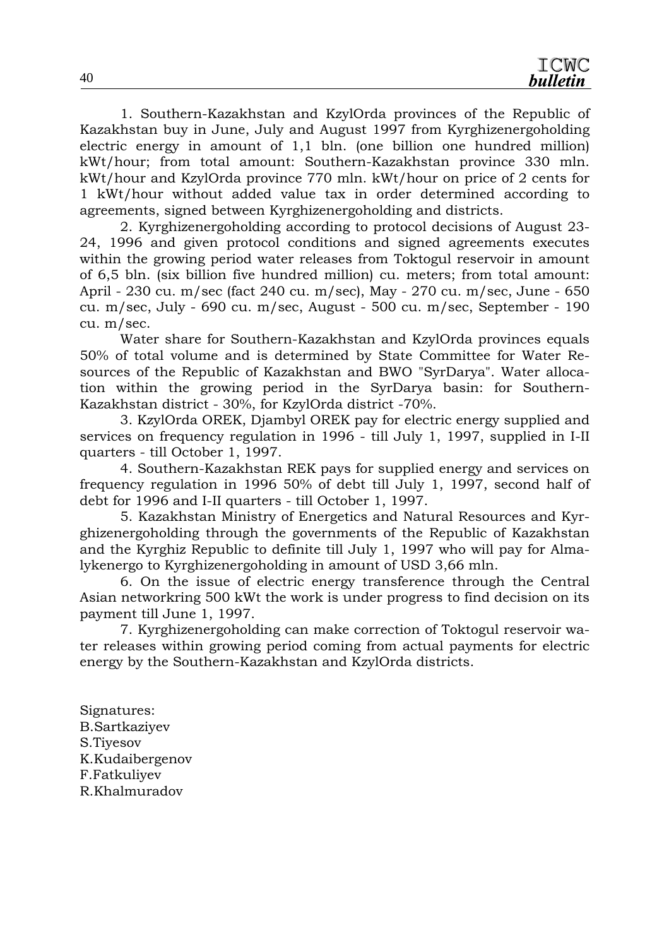1. Southern-Kazakhstan and KzylOrda provinces of the Republic of Kazakhstan buy in June, July and August 1997 from Kyrghizenergoholding electric energy in amount of 1,1 bln. (one billion one hundred million) kWt/hour; from total amount: Southern-Kazakhstan province 330 mln. kWt/hour and KzylOrda province 770 mln. kWt/hour on price of 2 cents for 1 kWt/hour without added value tax in order determined according to agreements, signed between Kyrghizenergoholding and districts.

 2. Kyrghizenergoholding according to protocol decisions of August 23- 24, 1996 and given protocol conditions and signed agreements executes within the growing period water releases from Toktogul reservoir in amount of 6,5 bln. (six billion five hundred million) cu. meters; from total amount: April - 230 cu. m/sec (fact 240 cu. m/sec), May - 270 cu. m/sec, June - 650 cu. m/sec, July - 690 cu. m/sec, August - 500 cu. m/sec, September - 190 cu. m/sec.

 Water share for Southern-Kazakhstan and KzylOrda provinces equals 50% of total volume and is determined by State Committee for Water Resources of the Republic of Kazakhstan and BWO "SyrDarya". Water allocation within the growing period in the SyrDarya basin: for Southern-Kazakhstan district - 30%, for KzylOrda district -70%.

 3. KzylOrda OREK, Djambyl OREK pay for electric energy supplied and services on frequency regulation in 1996 - till July 1, 1997, supplied in I-II quarters - till October 1, 1997.

 4. Southern-Kazakhstan REK pays for supplied energy and services on frequency regulation in 1996 50% of debt till July 1, 1997, second half of debt for 1996 and I-II quarters - till October 1, 1997.

 5. Kazakhstan Ministry of Energetics and Natural Resources and Kyrghizenergoholding through the governments of the Republic of Kazakhstan and the Kyrghiz Republic to definite till July 1, 1997 who will pay for Almalykenergo to Kyrghizenergoholding in amount of USD 3,66 mln.

 6. On the issue of electric energy transference through the Central Asian networkring 500 kWt the work is under progress to find decision on its payment till June 1, 1997.

 7. Kyrghizenergoholding can make correction of Toktogul reservoir water releases within growing period coming from actual payments for electric energy by the Southern-Kazakhstan and KzylOrda districts.

Signatures: B.Sartkaziyev S.Tiyesov K.Kudaibergenov F.Fatkuliyev R.Khalmuradov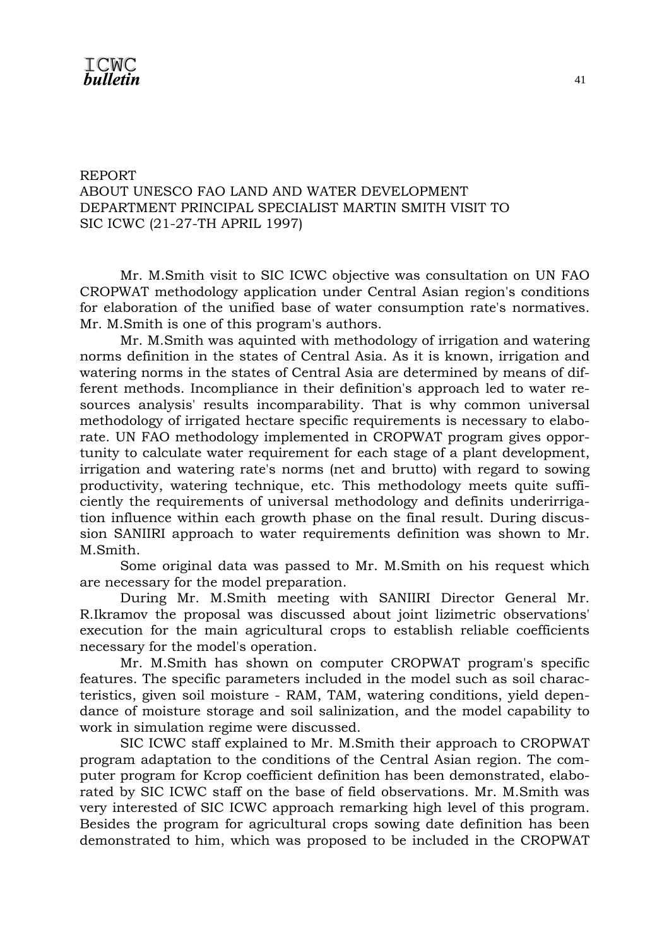#### REPORT ABOUT UNESCO FAO LAND AND WATER DEVELOPMENT DEPARTMENT PRINCIPAL SPECIALIST MARTIN SMITH VISIT TO SIC ICWC (21-27-TH APRIL 1997)

 Mr. M.Smith visit to SIC ICWC objective was consultation on UN FAO CROPWAT methodology application under Central Asian region's conditions for elaboration of the unified base of water consumption rate's normatives. Mr. M.Smith is one of this program's authors.

 Mr. M.Smith was aquinted with methodology of irrigation and watering norms definition in the states of Central Asia. As it is known, irrigation and watering norms in the states of Central Asia are determined by means of different methods. Incompliance in their definition's approach led to water resources analysis' results incomparability. That is why common universal methodology of irrigated hectare specific requirements is necessary to elaborate. UN FAO methodology implemented in CROPWAT program gives opportunity to calculate water requirement for each stage of a plant development, irrigation and watering rate's norms (net and brutto) with regard to sowing productivity, watering technique, etc. This methodology meets quite sufficiently the requirements of universal methodology and definits underirrigation influence within each growth phase on the final result. During discussion SANIIRI approach to water requirements definition was shown to Mr. M.Smith.

 Some original data was passed to Mr. M.Smith on his request which are necessary for the model preparation.

 During Mr. M.Smith meeting with SANIIRI Director General Mr. R.Ikramov the proposal was discussed about joint lizimetric observations' execution for the main agricultural crops to establish reliable coefficients necessary for the model's operation.

 Mr. M.Smith has shown on computer CROPWAT program's specific features. The specific parameters included in the model such as soil characteristics, given soil moisture - RAM, TAM, watering conditions, yield dependance of moisture storage and soil salinization, and the model capability to work in simulation regime were discussed.

 SIC ICWC staff explained to Mr. M.Smith their approach to CROPWAT program adaptation to the conditions of the Central Asian region. The computer program for Kcrop coefficient definition has been demonstrated, elaborated by SIC ICWC staff on the base of field observations. Mr. M.Smith was very interested of SIC ICWC approach remarking high level of this program. Besides the program for agricultural crops sowing date definition has been demonstrated to him, which was proposed to be included in the CROPWAT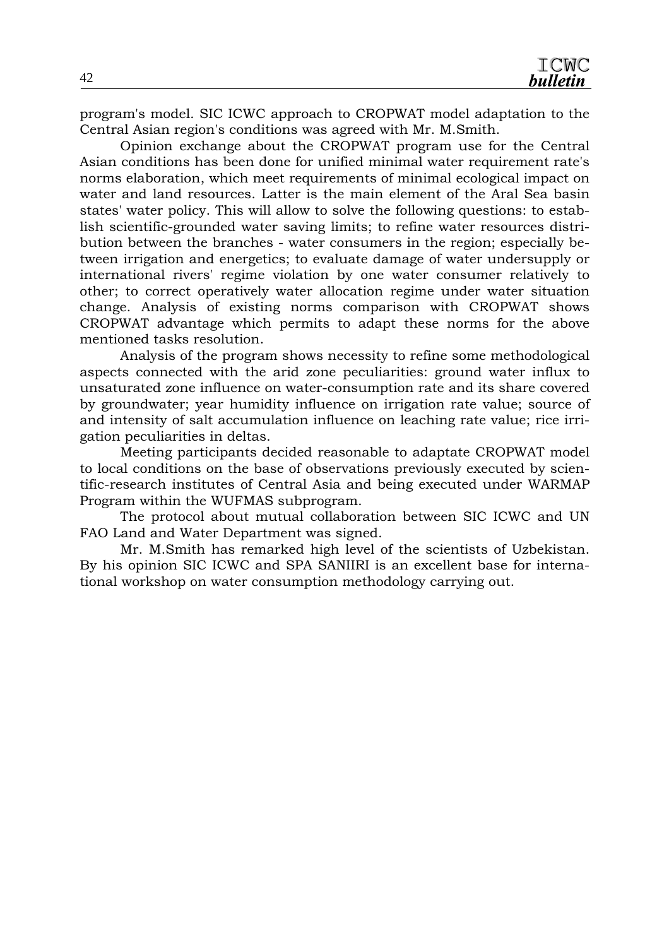program's model. SIC ICWC approach to CROPWAT model adaptation to the Central Asian region's conditions was agreed with Mr. M.Smith.

 Opinion exchange about the CROPWAT program use for the Central Asian conditions has been done for unified minimal water requirement rate's norms elaboration, which meet requirements of minimal ecological impact on water and land resources. Latter is the main element of the Aral Sea basin states' water policy. This will allow to solve the following questions: to establish scientific-grounded water saving limits; to refine water resources distribution between the branches - water consumers in the region; especially between irrigation and energetics; to evaluate damage of water undersupply or international rivers' regime violation by one water consumer relatively to other; to correct operatively water allocation regime under water situation change. Analysis of existing norms comparison with CROPWAT shows CROPWAT advantage which permits to adapt these norms for the above mentioned tasks resolution.

 Analysis of the program shows necessity to refine some methodological aspects connected with the arid zone peculiarities: ground water influx to unsaturated zone influence on water-consumption rate and its share covered by groundwater; year humidity influence on irrigation rate value; source of and intensity of salt accumulation influence on leaching rate value; rice irrigation peculiarities in deltas.

 Meeting participants decided reasonable to adaptate CROPWAT model to local conditions on the base of observations previously executed by scientific-research institutes of Central Asia and being executed under WARMAP Program within the WUFMAS subprogram.

 The protocol about mutual collaboration between SIC ICWC and UN FAO Land and Water Department was signed.

 Mr. M.Smith has remarked high level of the scientists of Uzbekistan. By his opinion SIC ICWC and SPA SANIIRI is an excellent base for international workshop on water consumption methodology carrying out.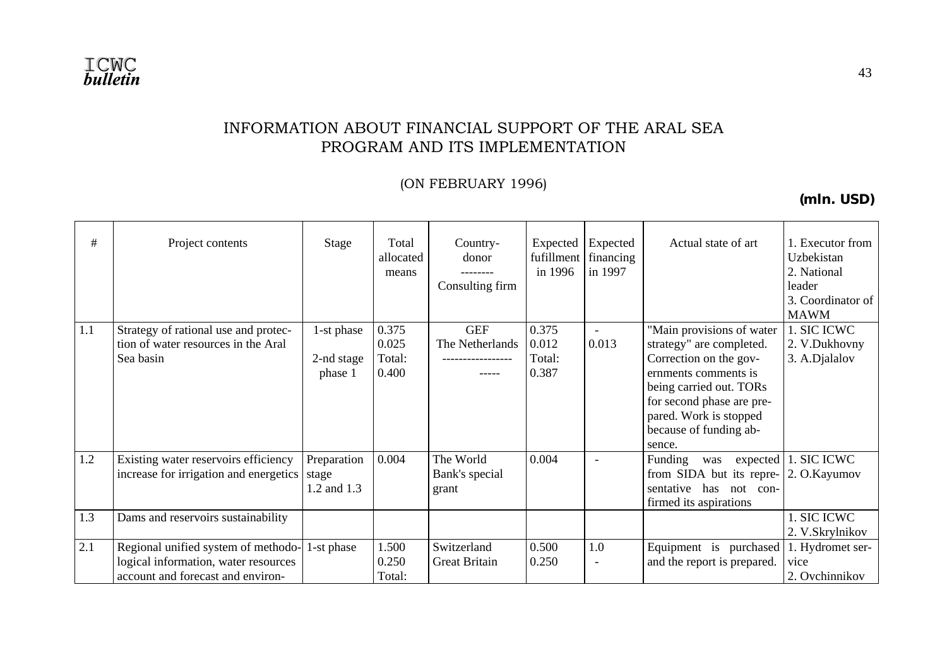

#### INFORMATION ABOUT FINANCIAL SUPPORT OF THE ARAL SEA PROGRAM AND ITS IMPLEMENTATION

(ON FEBRUARY 1996)

**(mln. USD)** 

| #   | Project contents                                                                                                 | Stage                               | Total<br>allocated<br>means       | Country-<br>donor<br>---------<br>Consulting firm | Expected<br>fufillment<br>in 1996 | Expected<br>financing<br>in 1997 | Actual state of art                                                                                                                                                                                                           | 1. Executor from<br>Uzbekistan<br>2. National<br>leader |
|-----|------------------------------------------------------------------------------------------------------------------|-------------------------------------|-----------------------------------|---------------------------------------------------|-----------------------------------|----------------------------------|-------------------------------------------------------------------------------------------------------------------------------------------------------------------------------------------------------------------------------|---------------------------------------------------------|
|     |                                                                                                                  |                                     |                                   |                                                   |                                   |                                  |                                                                                                                                                                                                                               | 3. Coordinator of<br><b>MAWM</b>                        |
| 1.1 | Strategy of rational use and protec-<br>tion of water resources in the Aral<br>Sea basin                         | 1-st phase<br>2-nd stage<br>phase 1 | 0.375<br>0.025<br>Total:<br>0.400 | <b>GEF</b><br>The Netherlands<br>-----            | 0.375<br>0.012<br>Total:<br>0.387 | $\blacksquare$<br>0.013          | "Main provisions of water<br>strategy" are completed.<br>Correction on the gov-<br>ernments comments is<br>being carried out. TORs<br>for second phase are pre-<br>pared. Work is stopped<br>because of funding ab-<br>sence. | 1. SIC ICWC<br>2. V.Dukhovny<br>3. A.Djalalov           |
| 1.2 | Existing water reservoirs efficiency<br>increase for irrigation and energetics                                   | Preparation<br>stage<br>1.2 and 1.3 | 0.004                             | The World<br>Bank's special<br>grant              | 0.004                             | $\overline{\phantom{a}}$         | Funding<br>expected<br>was<br>from SIDA but its repre-<br>sentative has not con-<br>firmed its aspirations                                                                                                                    | 1. SIC ICWC<br>2. O.Kayumov                             |
| 1.3 | Dams and reservoirs sustainability                                                                               |                                     |                                   |                                                   |                                   |                                  |                                                                                                                                                                                                                               | 1. SIC ICWC<br>2. V.Skrylnikov                          |
| 2.1 | Regional unified system of methodo-<br>logical information, water resources<br>account and forecast and environ- | 1-st phase                          | 1.500<br>0.250<br>Total:          | Switzerland<br><b>Great Britain</b>               | 0.500<br>0.250                    | 1.0<br>$\overline{\phantom{a}}$  | Equipment is purchased<br>and the report is prepared.                                                                                                                                                                         | 1. Hydromet ser-<br>vice<br>2. Ovchinnikov              |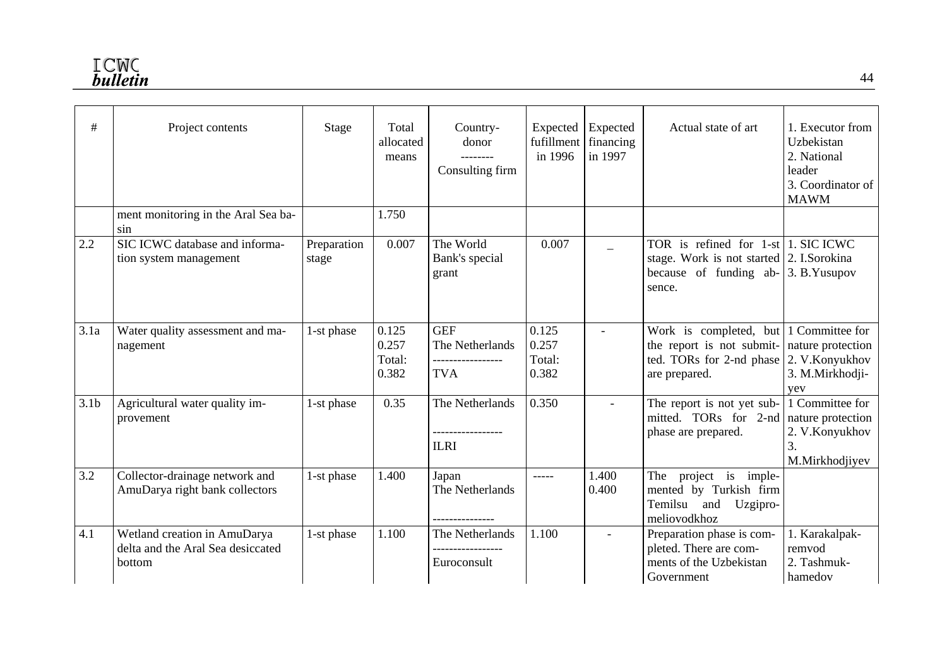| #                | Project contents                                                            | Stage                | Total<br>allocated<br>means       | Country-<br>donor<br>Consulting firm                             | fufillment<br>in 1996             | Expected Expected<br>financing<br>in 1997 | Actual state of art                                                                                                                                            | 1. Executor from<br>Uzbekistan<br>2. National<br>leader<br>3. Coordinator of<br><b>MAWM</b>  |
|------------------|-----------------------------------------------------------------------------|----------------------|-----------------------------------|------------------------------------------------------------------|-----------------------------------|-------------------------------------------|----------------------------------------------------------------------------------------------------------------------------------------------------------------|----------------------------------------------------------------------------------------------|
|                  | ment monitoring in the Aral Sea ba-<br>sin                                  |                      | 1.750                             |                                                                  |                                   |                                           |                                                                                                                                                                |                                                                                              |
| 2.2              | SIC ICWC database and informa-<br>tion system management                    | Preparation<br>stage | 0.007                             | The World<br>Bank's special<br>grant                             | 0.007                             |                                           | TOR is refined for $1$ -st 1. SIC ICWC<br>stage. Work is not started 2. I.Sorokina<br>because of funding ab-<br>sence.                                         | 3. B. Yusupov                                                                                |
| 3.1a             | Water quality assessment and ma-<br>nagement                                | 1-st phase           | 0.125<br>0.257<br>Total:<br>0.382 | <b>GEF</b><br>The Netherlands<br>-----------------<br><b>TVA</b> | 0.125<br>0.257<br>Total:<br>0.382 | $\blacksquare$                            | Work is completed, but $\vert$ 1 Committee for<br>the report is not submit- nature protection<br>ted. TORs for 2-nd phase $ 2$ . V. Konyukhov<br>are prepared. | 3. M.Mirkhodji-<br>yev                                                                       |
| 3.1 <sub>b</sub> | Agricultural water quality im-<br>provement                                 | 1-st phase           | 0.35                              | The Netherlands<br><b>ILRI</b>                                   | 0.350                             | $\overline{a}$                            | The report is not yet sub-<br>mitted. TORs for 2-nd<br>phase are prepared.                                                                                     | 1 Committee for<br>nature protection<br>2. V.Konyukhov<br>$\overline{3}$ .<br>M.Mirkhodjiyev |
| 3.2              | Collector-drainage network and<br>AmuDarya right bank collectors            | 1-st phase           | 1.400                             | Japan<br>The Netherlands                                         | $- - - - -$                       | 1.400<br>0.400                            | project is imple-<br>The<br>mented by Turkish firm<br>Temilsu<br>and<br>Uzgipro-<br>meliovodkhoz                                                               |                                                                                              |
| 4.1              | Wetland creation in AmuDarya<br>delta and the Aral Sea desiccated<br>bottom | 1-st phase           | 1.100                             | The Netherlands<br>Euroconsult                                   | 1.100                             |                                           | Preparation phase is com-<br>pleted. There are com-<br>ments of the Uzbekistan<br>Government                                                                   | 1. Karakalpak-<br>remvod<br>2. Tashmuk-<br>hamedov                                           |

44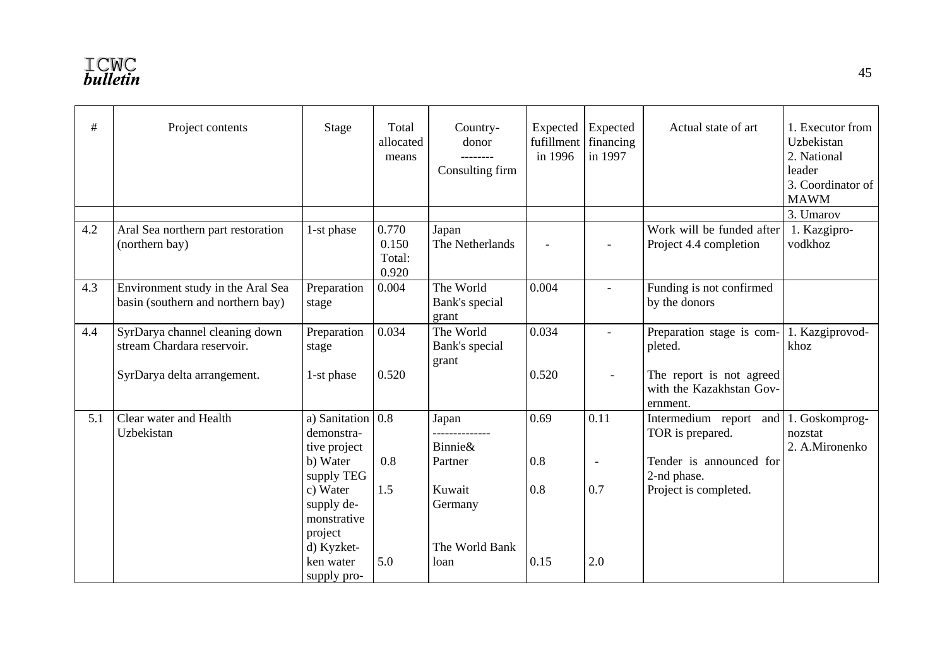| #   | Project contents                                                       | Stage                                                         | Total<br>allocated<br>means       | Country-<br>donor<br>--------<br>Consulting firm | Expected Expected<br>fufillment<br>in 1996 | financing<br>in 1997 | Actual state of art                                              | 1. Executor from<br>Uzbekistan<br>2. National<br>leader<br>3. Coordinator of<br><b>MAWM</b> |
|-----|------------------------------------------------------------------------|---------------------------------------------------------------|-----------------------------------|--------------------------------------------------|--------------------------------------------|----------------------|------------------------------------------------------------------|---------------------------------------------------------------------------------------------|
|     |                                                                        |                                                               |                                   |                                                  |                                            |                      |                                                                  | 3. Umarov                                                                                   |
| 4.2 | Aral Sea northern part restoration<br>(northern bay)                   | 1-st phase                                                    | 0.770<br>0.150<br>Total:<br>0.920 | Japan<br>The Netherlands                         |                                            | $\blacksquare$       | Work will be funded after<br>Project 4.4 completion              | 1. Kazgipro-<br>vodkhoz                                                                     |
| 4.3 | Environment study in the Aral Sea<br>basin (southern and northern bay) | Preparation<br>stage                                          | 0.004                             | The World<br>Bank's special<br>grant             | 0.004                                      |                      | Funding is not confirmed<br>by the donors                        |                                                                                             |
| 4.4 | SyrDarya channel cleaning down<br>stream Chardara reservoir.           | Preparation<br>stage                                          | 0.034                             | The World<br>Bank's special<br>grant             | 0.034                                      |                      | Preparation stage is com-<br>pleted.                             | 1. Kazgiprovod-<br>khoz                                                                     |
|     | SyrDarya delta arrangement.                                            | 1-st phase                                                    | 0.520                             |                                                  | 0.520                                      |                      | The report is not agreed<br>with the Kazakhstan Gov-<br>ernment. |                                                                                             |
| 5.1 | Clear water and Health<br>Uzbekistan                                   | a) Sanitation $\vert 0.8 \vert$<br>demonstra-<br>tive project |                                   | Japan<br><b>Binnie&amp;</b>                      | 0.69                                       | 0.11                 | Intermedium report and 1. Goskomprog-<br>TOR is prepared.        | nozstat<br>2. A.Mironenko                                                                   |
|     |                                                                        | b) Water<br>supply TEG                                        | 0.8                               | Partner                                          | 0.8                                        | $\blacksquare$       | Tender is announced for<br>2-nd phase.                           |                                                                                             |
|     |                                                                        | c) Water<br>supply de-<br>monstrative<br>project              | 1.5                               | Kuwait<br>Germany                                | 0.8                                        | 0.7                  | Project is completed.                                            |                                                                                             |
|     |                                                                        | d) Kyzket-<br>ken water<br>supply pro-                        | 5.0                               | The World Bank<br>loan                           | 0.15                                       | 2.0                  |                                                                  |                                                                                             |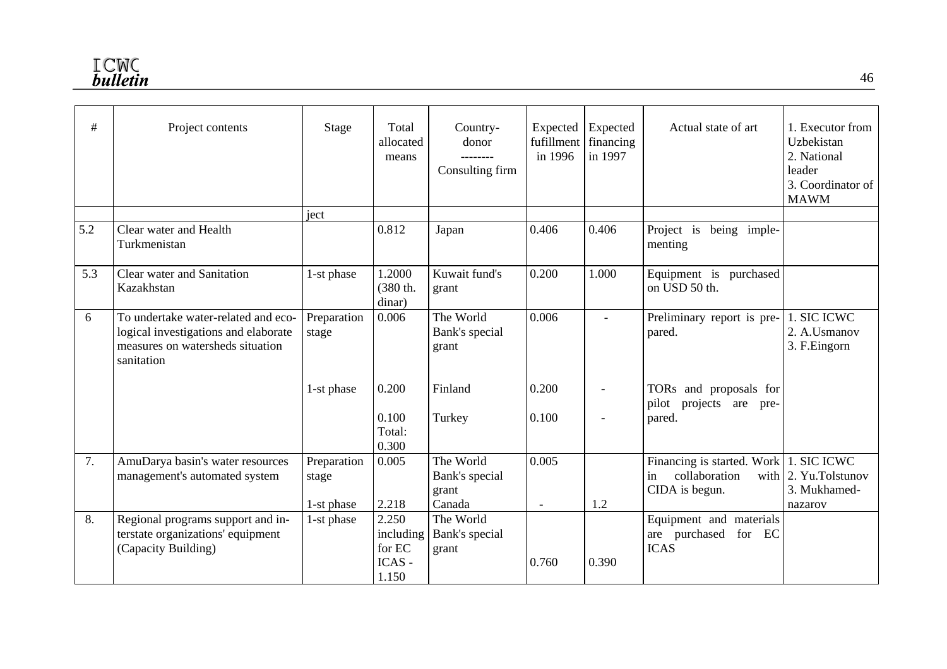| #   | Project contents                                                                                                              | Stage                | Total<br>allocated<br>means            | Country-<br>donor<br>--------<br>Consulting firm | Expected Expected<br>fufillment<br>in 1996 | financing<br>in 1997     | Actual state of art                                                             | 1. Executor from<br>Uzbekistan<br>2. National<br>leader<br>3. Coordinator of<br><b>MAWM</b> |
|-----|-------------------------------------------------------------------------------------------------------------------------------|----------------------|----------------------------------------|--------------------------------------------------|--------------------------------------------|--------------------------|---------------------------------------------------------------------------------|---------------------------------------------------------------------------------------------|
|     |                                                                                                                               | ject                 |                                        |                                                  |                                            |                          |                                                                                 |                                                                                             |
| 5.2 | Clear water and Health<br>Turkmenistan                                                                                        |                      | 0.812                                  | Japan                                            | 0.406                                      | 0.406                    | Project is<br>being imple-<br>menting                                           |                                                                                             |
| 5.3 | Clear water and Sanitation<br>Kazakhstan                                                                                      | 1-st phase           | 1.2000<br>(380 th.<br>dinar)           | Kuwait fund's<br>grant                           | 0.200                                      | 1.000                    | Equipment is purchased<br>on USD 50 th.                                         |                                                                                             |
| 6   | To undertake water-related and eco-<br>logical investigations and elaborate<br>measures on watersheds situation<br>sanitation | Preparation<br>stage | 0.006                                  | The World<br>Bank's special<br>grant             | 0.006                                      |                          | Preliminary report is pre-<br>pared.                                            | 1. SIC ICWC<br>2. A.Usmanov<br>3. F.Eingorn                                                 |
|     |                                                                                                                               | 1-st phase           | 0.200                                  | Finland                                          | 0.200                                      | $\overline{\phantom{a}}$ | TORs and proposals for<br>projects are pre-<br>pilot                            |                                                                                             |
|     |                                                                                                                               |                      | 0.100<br>Total:<br>0.300               | Turkey                                           | 0.100                                      |                          | pared.                                                                          |                                                                                             |
| 7.  | AmuDarya basin's water resources<br>management's automated system                                                             | Preparation<br>stage | 0.005                                  | The World<br>Bank's special<br>grant             | 0.005                                      |                          | Financing is started. Work 1. SIC ICWC<br>collaboration<br>in<br>CIDA is begun. | with $ 2$ . Yu. Tolstunov<br>3. Mukhamed-                                                   |
|     |                                                                                                                               | 1-st phase           | 2.218                                  | Canada                                           | $\overline{\phantom{a}}$                   | 1.2                      |                                                                                 | nazarov                                                                                     |
| 8.  | Regional programs support and in-<br>terstate organizations' equipment<br>(Capacity Building)                                 | 1-st phase           | 2.250<br>including<br>for EC<br>ICAS - | The World<br>Bank's special<br>grant             | 0.760                                      | 0.390                    | Equipment and materials<br>are purchased for EC<br><b>ICAS</b>                  |                                                                                             |
|     |                                                                                                                               |                      | 1.150                                  |                                                  |                                            |                          |                                                                                 |                                                                                             |

46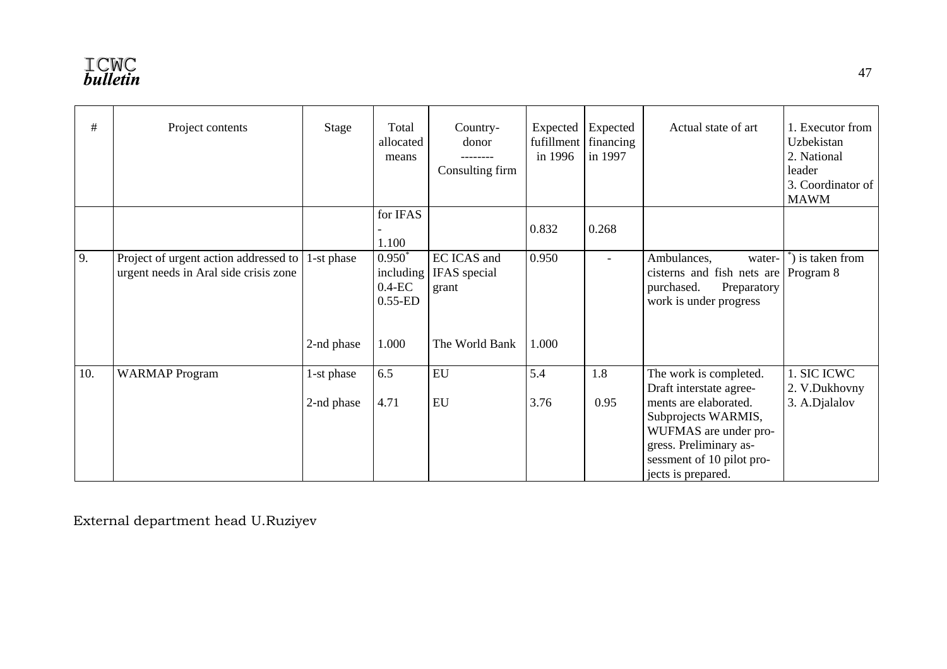| $\#$ | Project contents                                                               | Stage      | Total<br>allocated<br>means                       | Country-<br>donor<br>Consulting firm | Expected<br>fufillment<br>in 1996 | Expected<br>financing<br>in 1997 | Actual state of art                                                                                                                                | 1. Executor from<br>Uzbekistan<br>2. National<br>leader<br>3. Coordinator of<br><b>MAWM</b> |
|------|--------------------------------------------------------------------------------|------------|---------------------------------------------------|--------------------------------------|-----------------------------------|----------------------------------|----------------------------------------------------------------------------------------------------------------------------------------------------|---------------------------------------------------------------------------------------------|
|      |                                                                                |            | for IFAS<br>1.100                                 |                                      | 0.832                             | 0.268                            |                                                                                                                                                    |                                                                                             |
| 9.   | Project of urgent action addressed to<br>urgent needs in Aral side crisis zone | 1-st phase | $0.950^*$<br>including<br>$0.4$ -EC<br>$0.55$ -ED | EC ICAS and<br>IFAS special<br>grant | 0.950                             | $\blacksquare$                   | Ambulances,<br>water-<br>cisterns and fish nets are<br>Preparatory<br>purchased.<br>work is under progress                                         | is taken from<br>Program 8                                                                  |
|      |                                                                                | 2-nd phase | 1.000                                             | The World Bank                       | 1.000                             |                                  |                                                                                                                                                    |                                                                                             |
| 10.  | <b>WARMAP</b> Program                                                          | 1-st phase | 6.5                                               | ${\rm EU}$                           | 5.4                               | 1.8                              | The work is completed.<br>Draft interstate agree-                                                                                                  | 1. SIC ICWC<br>2. V.Dukhovny                                                                |
|      |                                                                                | 2-nd phase | 4.71                                              | EU                                   | 3.76                              | 0.95                             | ments are elaborated.<br>Subprojects WARMIS,<br>WUFMAS are under pro-<br>gress. Preliminary as-<br>sessment of 10 pilot pro-<br>jects is prepared. | 3. A.Djalalov                                                                               |

External department head U.Ruziyev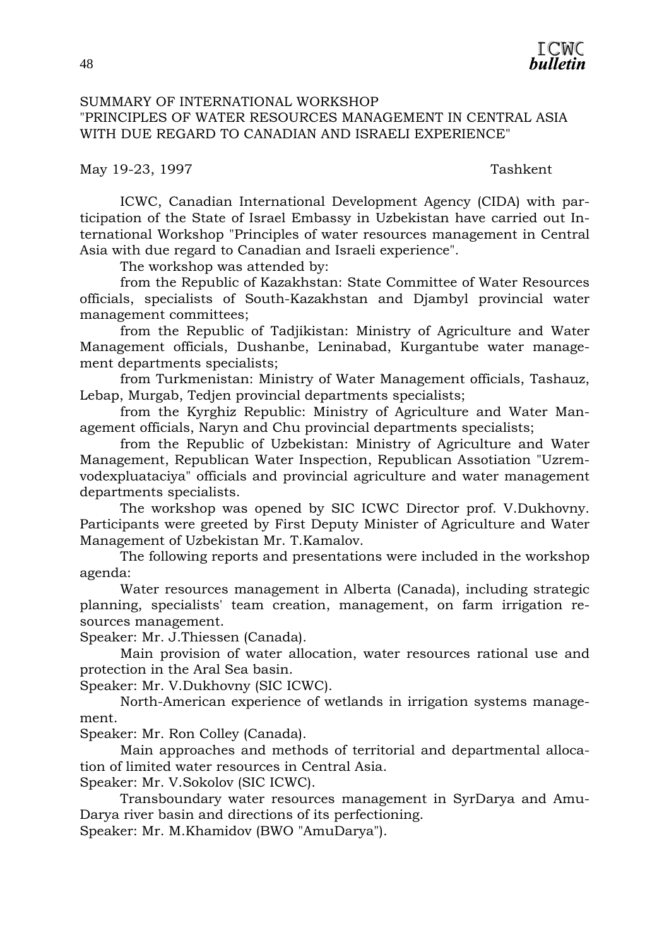

#### SUMMARY OF INTERNATIONAL WORKSHOP "PRINCIPLES OF WATER RESOURCES MANAGEMENT IN CENTRAL ASIA WITH DUE REGARD TO CANADIAN AND ISRAELI EXPERIENCE"

May 19-23, 1997 Tashkent

 ICWC, Canadian International Development Agency (CIDA) with participation of the State of Israel Embassy in Uzbekistan have carried out International Workshop "Principles of water resources management in Central Asia with due regard to Canadian and Israeli experience".

The workshop was attended by:

from the Republic of Kazakhstan: State Committee of Water Resources officials, specialists of South-Kazakhstan and Djambyl provincial water management committees;

from the Republic of Tadjikistan: Ministry of Agriculture and Water Management officials, Dushanbe, Leninabad, Kurgantube water management departments specialists;

from Turkmenistan: Ministry of Water Management officials, Tashauz, Lebap, Murgab, Tedjen provincial departments specialists;

from the Kyrghiz Republic: Ministry of Agriculture and Water Management officials, Naryn and Chu provincial departments specialists;

from the Republic of Uzbekistan: Ministry of Agriculture and Water Management, Republican Water Inspection, Republican Assotiation "Uzremvodexpluataciya" officials and provincial agriculture and water management departments specialists.

 The workshop was opened by SIC ICWC Director prof. V.Dukhovny. Participants were greeted by First Deputy Minister of Agriculture and Water Management of Uzbekistan Mr. T.Kamalov.

 The following reports and presentations were included in the workshop agenda:

Water resources management in Alberta (Canada), including strategic planning, specialists' team creation, management, on farm irrigation resources management.

Speaker: Mr. J.Thiessen (Canada).

Main provision of water allocation, water resources rational use and protection in the Aral Sea basin.

Speaker: Mr. V.Dukhovny (SIC ICWC).

North-American experience of wetlands in irrigation systems management.

Speaker: Mr. Ron Colley (Canada).

 Main approaches and methods of territorial and departmental allocation of limited water resources in Central Asia.

Speaker: Mr. V.Sokolov (SIC ICWC).

 Transboundary water resources management in SyrDarya and Amu-Darya river basin and directions of its perfectioning.

Speaker: Mr. M.Khamidov (BWO "AmuDarya").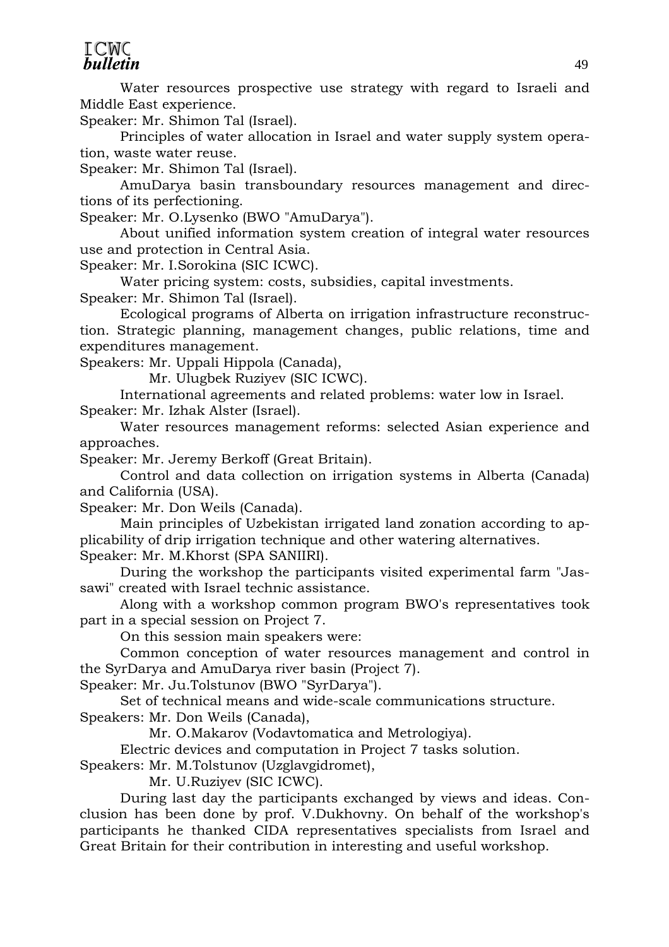#### **ICWC bulletin**

 Water resources prospective use strategy with regard to Israeli and Middle East experience.

Speaker: Mr. Shimon Tal (Israel).

 Principles of water allocation in Israel and water supply system operation, waste water reuse.

Speaker: Mr. Shimon Tal (Israel).

 AmuDarya basin transboundary resources management and directions of its perfectioning.

Speaker: Mr. O.Lysenko (BWO "AmuDarya").

 About unified information system creation of integral water resources use and protection in Central Asia.

Speaker: Mr. I.Sorokina (SIC ICWC).

 Water pricing system: costs, subsidies, capital investments. Speaker: Mr. Shimon Tal (Israel).

 Ecological programs of Alberta on irrigation infrastructure reconstruction. Strategic planning, management changes, public relations, time and expenditures management.

Speakers: Mr. Uppali Hippola (Canada),

Mr. Ulugbek Ruziyev (SIC ICWC).

 International agreements and related problems: water low in Israel. Speaker: Mr. Izhak Alster (Israel).

 Water resources management reforms: selected Asian experience and approaches.

Speaker: Mr. Jeremy Berkoff (Great Britain).

 Control and data collection on irrigation systems in Alberta (Canada) and California (USA).

Speaker: Mr. Don Weils (Canada).

 Main principles of Uzbekistan irrigated land zonation according to applicability of drip irrigation technique and other watering alternatives.

Speaker: Mr. M.Khorst (SPA SANIIRI).

 During the workshop the participants visited experimental farm "Jassawi" created with Israel technic assistance.

 Along with a workshop common program BWO's representatives took part in a special session on Project 7.

On this session main speakers were:

 Common conception of water resources management and control in the SyrDarya and AmuDarya river basin (Project 7).

Speaker: Mr. Ju.Tolstunov (BWO "SyrDarya").

 Set of technical means and wide-scale communications structure. Speakers: Mr. Don Weils (Canada),

Mr. O.Makarov (Vodavtomatica and Metrologiya).

Electric devices and computation in Project 7 tasks solution.

Speakers: Mr. M.Tolstunov (Uzglavgidromet),

Mr. U.Ruziyev (SIC ICWC).

 During last day the participants exchanged by views and ideas. Conclusion has been done by prof. V.Dukhovny. On behalf of the workshop's participants he thanked CIDA representatives specialists from Israel and Great Britain for their contribution in interesting and useful workshop.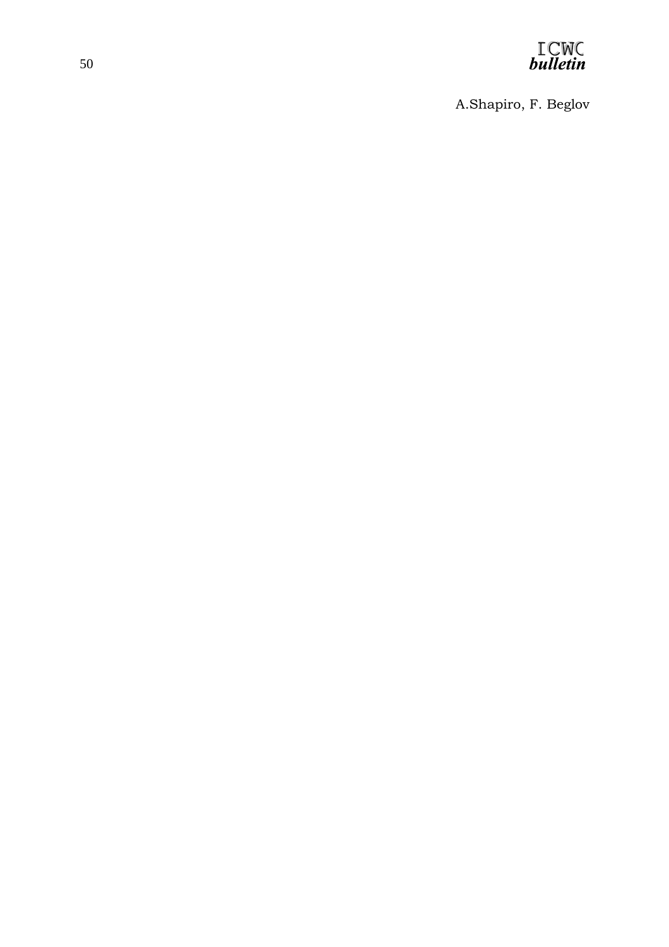

A.Shapiro, F. Beglov